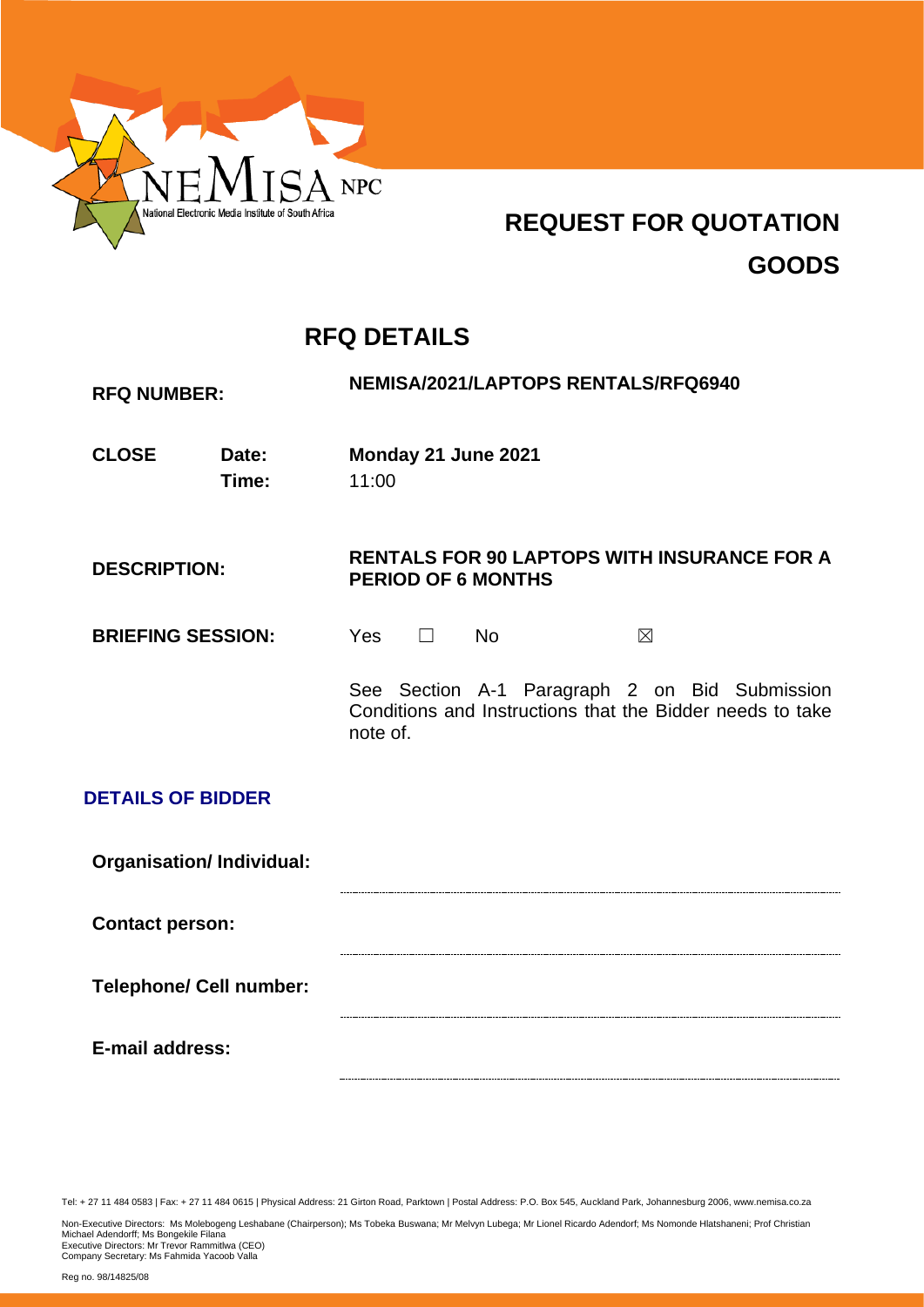

# **REQUEST FOR QUOTATION GOODS**

## **RFQ DETAILS**

| <b>RFQ NUMBER:</b>              |                | <b>NEMISA/2021/LAPTOPS RENTALS/RFQ6940</b>                                                                             |
|---------------------------------|----------------|------------------------------------------------------------------------------------------------------------------------|
| <b>CLOSE</b>                    | Date:<br>Time: | Monday 21 June 2021<br>11:00                                                                                           |
| <b>DESCRIPTION:</b>             |                | <b>RENTALS FOR 90 LAPTOPS WITH INSURANCE FOR A</b><br><b>PERIOD OF 6 MONTHS</b>                                        |
| <b>BRIEFING SESSION:</b>        |                | Yes<br><b>No</b><br>$\boxtimes$<br>$\perp$                                                                             |
|                                 |                | See Section A-1 Paragraph 2 on Bid Submission<br>Conditions and Instructions that the Bidder needs to take<br>note of. |
| <b>DETAILS OF BIDDER</b>        |                |                                                                                                                        |
| <b>Organisation/Individual:</b> |                |                                                                                                                        |
| <b>Contact person:</b>          |                |                                                                                                                        |
| <b>Telephone/ Cell number:</b>  |                |                                                                                                                        |
| E-mail address:                 |                |                                                                                                                        |

Tel: + 27 11 484 0583 | Fax: + 27 11 484 0615 | Physical Address: 21 Girton Road, Parktown | Postal Address: P.O. Box 545, Auckland Park, Johannesburg 2006, www.nemisa.co.za

Non-Executive Directors: Ms Molebogeng Leshabane (Chairperson); Ms Tobeka Buswana; Mr Melvyn Lubega; Mr Lionel Ricardo Adendorf; Ms Nomonde Hlatshaneni; Prof Christian<br>Michael Adendorff; Ms Bongekile Filana<br>Executive Dire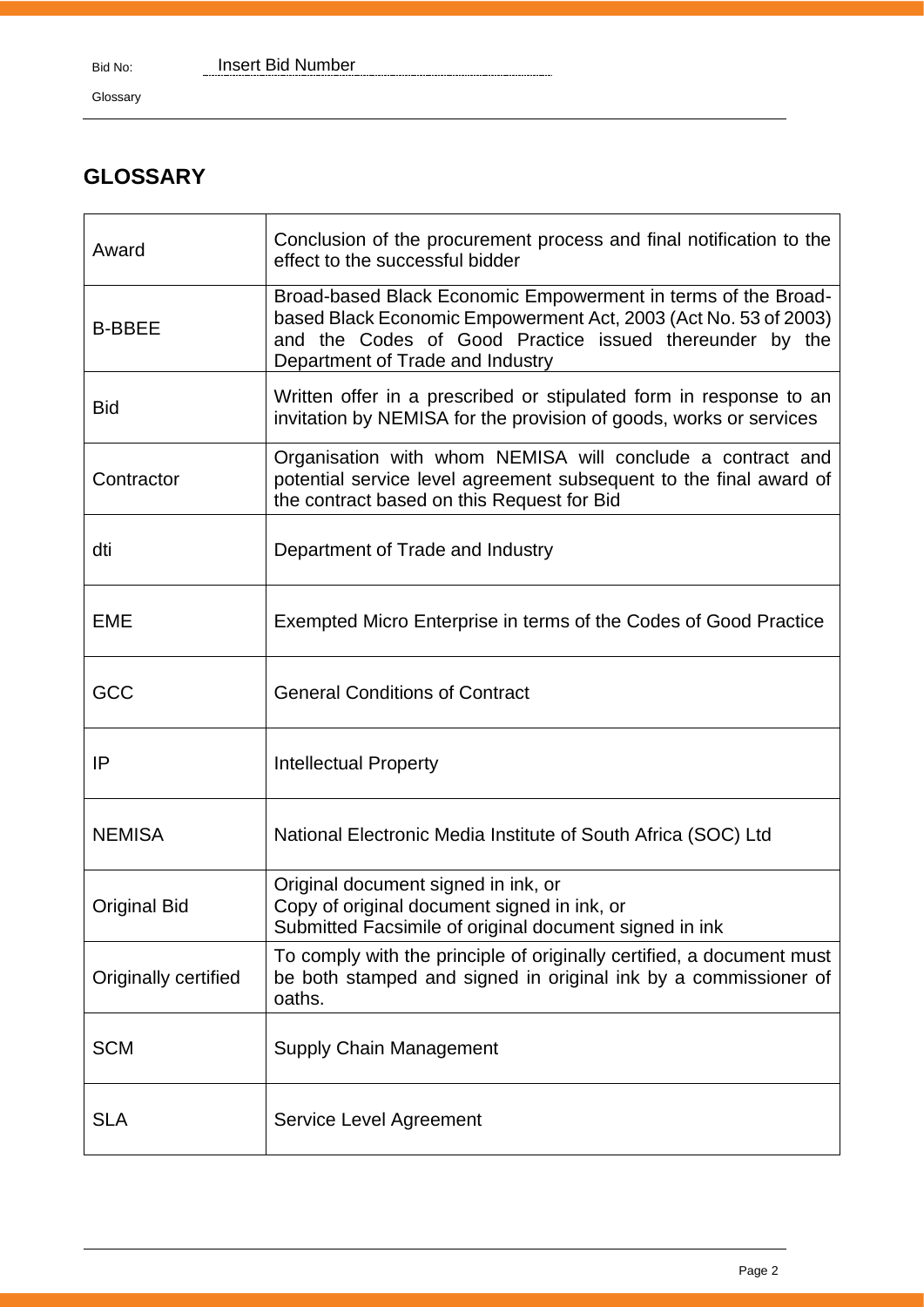## **GLOSSARY**

| Award                | Conclusion of the procurement process and final notification to the<br>effect to the successful bidder                                                                                                                          |
|----------------------|---------------------------------------------------------------------------------------------------------------------------------------------------------------------------------------------------------------------------------|
| <b>B-BBEE</b>        | Broad-based Black Economic Empowerment in terms of the Broad-<br>based Black Economic Empowerment Act, 2003 (Act No. 53 of 2003)<br>and the Codes of Good Practice issued thereunder by the<br>Department of Trade and Industry |
| <b>Bid</b>           | Written offer in a prescribed or stipulated form in response to an<br>invitation by NEMISA for the provision of goods, works or services                                                                                        |
| Contractor           | Organisation with whom NEMISA will conclude a contract and<br>potential service level agreement subsequent to the final award of<br>the contract based on this Request for Bid                                                  |
| dti                  | Department of Trade and Industry                                                                                                                                                                                                |
| <b>EME</b>           | Exempted Micro Enterprise in terms of the Codes of Good Practice                                                                                                                                                                |
| GCC                  | <b>General Conditions of Contract</b>                                                                                                                                                                                           |
| IP                   | <b>Intellectual Property</b>                                                                                                                                                                                                    |
| <b>NEMISA</b>        | National Electronic Media Institute of South Africa (SOC) Ltd                                                                                                                                                                   |
| <b>Original Bid</b>  | Original document signed in ink, or<br>Copy of original document signed in ink, or<br>Submitted Facsimile of original document signed in ink                                                                                    |
| Originally certified | To comply with the principle of originally certified, a document must<br>be both stamped and signed in original ink by a commissioner of<br>oaths.                                                                              |
| <b>SCM</b>           | <b>Supply Chain Management</b>                                                                                                                                                                                                  |
| <b>SLA</b>           | Service Level Agreement                                                                                                                                                                                                         |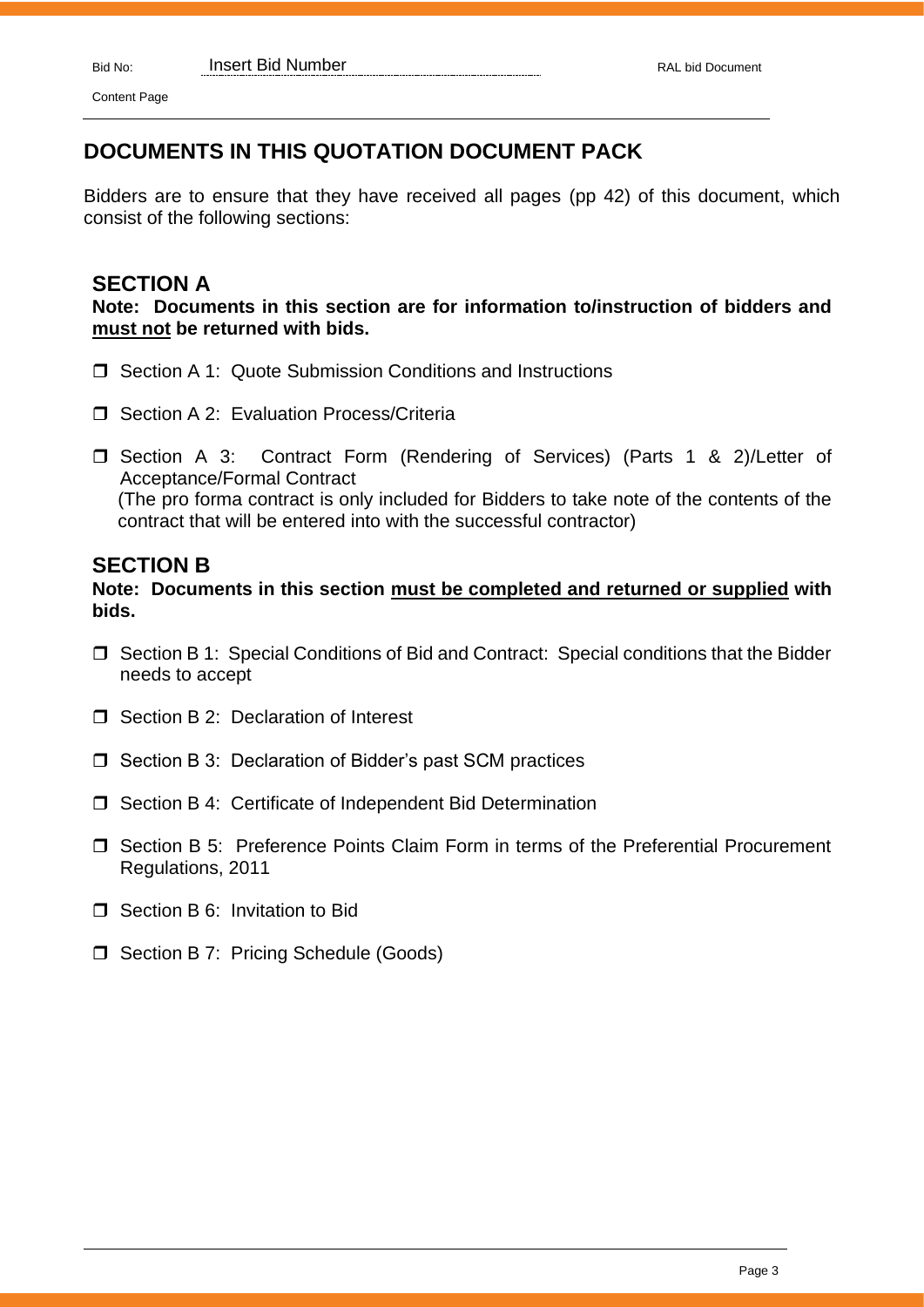#### **DOCUMENTS IN THIS QUOTATION DOCUMENT PACK**

Bidders are to ensure that they have received all pages (pp 42) of this document, which consist of the following sections:

#### **SECTION A**

**Note: Documents in this section are for information to/instruction of bidders and must not be returned with bids.**

- □ Section A 1: Quote Submission Conditions and Instructions
- □ Section A 2: Evaluation Process/Criteria
- □ Section A 3: Contract Form (Rendering of Services) (Parts 1 & 2)/Letter of Acceptance/Formal Contract (The pro forma contract is only included for Bidders to take note of the contents of the contract that will be entered into with the successful contractor)

#### **SECTION B**

**Note: Documents in this section must be completed and returned or supplied with bids.**

- □ Section B 1: Special Conditions of Bid and Contract: Special conditions that the Bidder needs to accept
- □ Section B 2: Declaration of Interest
- $\Box$  Section B 3: Declaration of Bidder's past SCM practices
- □ Section B 4: Certificate of Independent Bid Determination
- Section B 5: Preference Points Claim Form in terms of the Preferential Procurement Regulations, 2011
- **T** Section B 6: Invitation to Bid
- □ Section B 7: Pricing Schedule (Goods)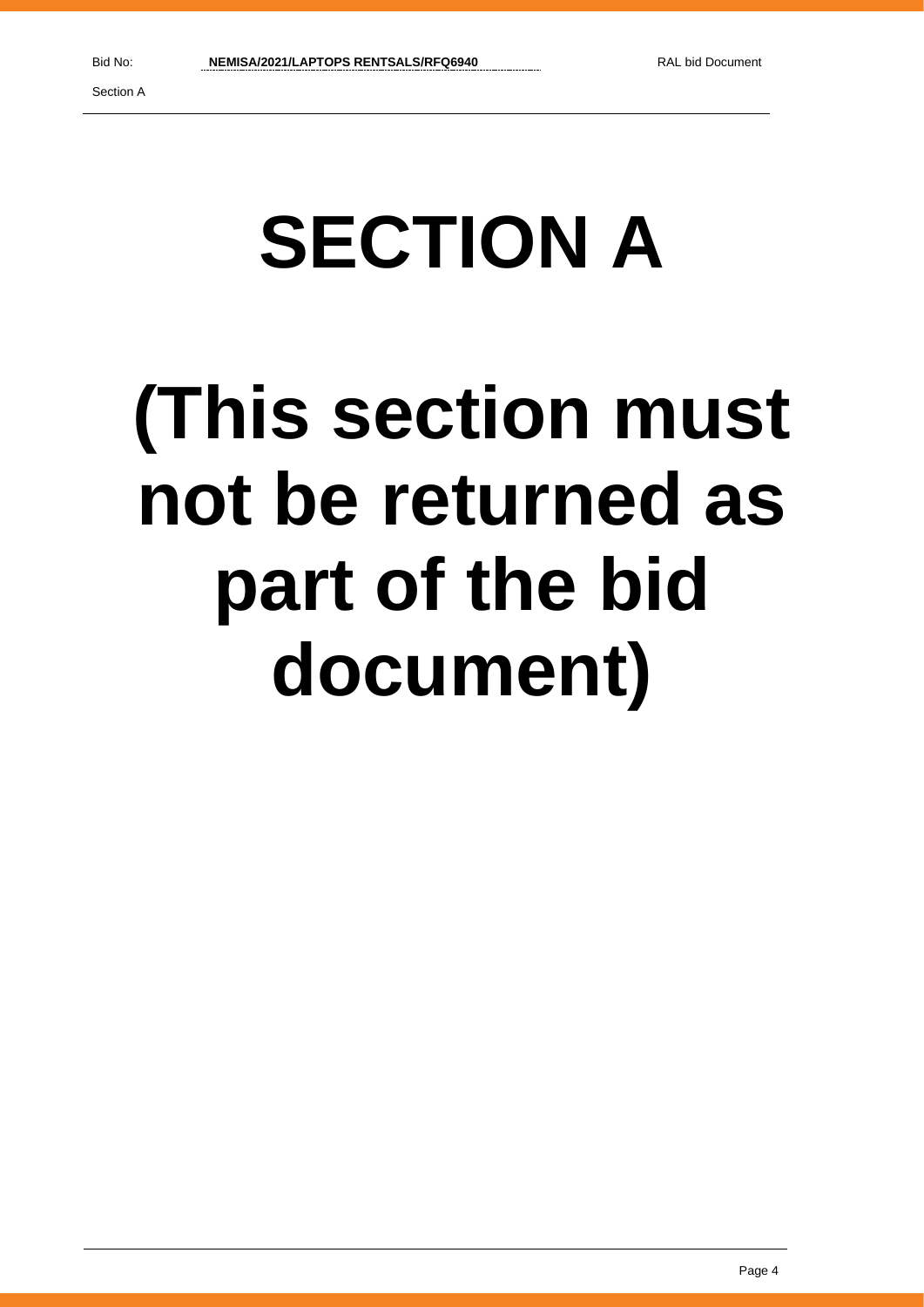# **SECTION A**

# **(This section must not be returned as part of the bid document)**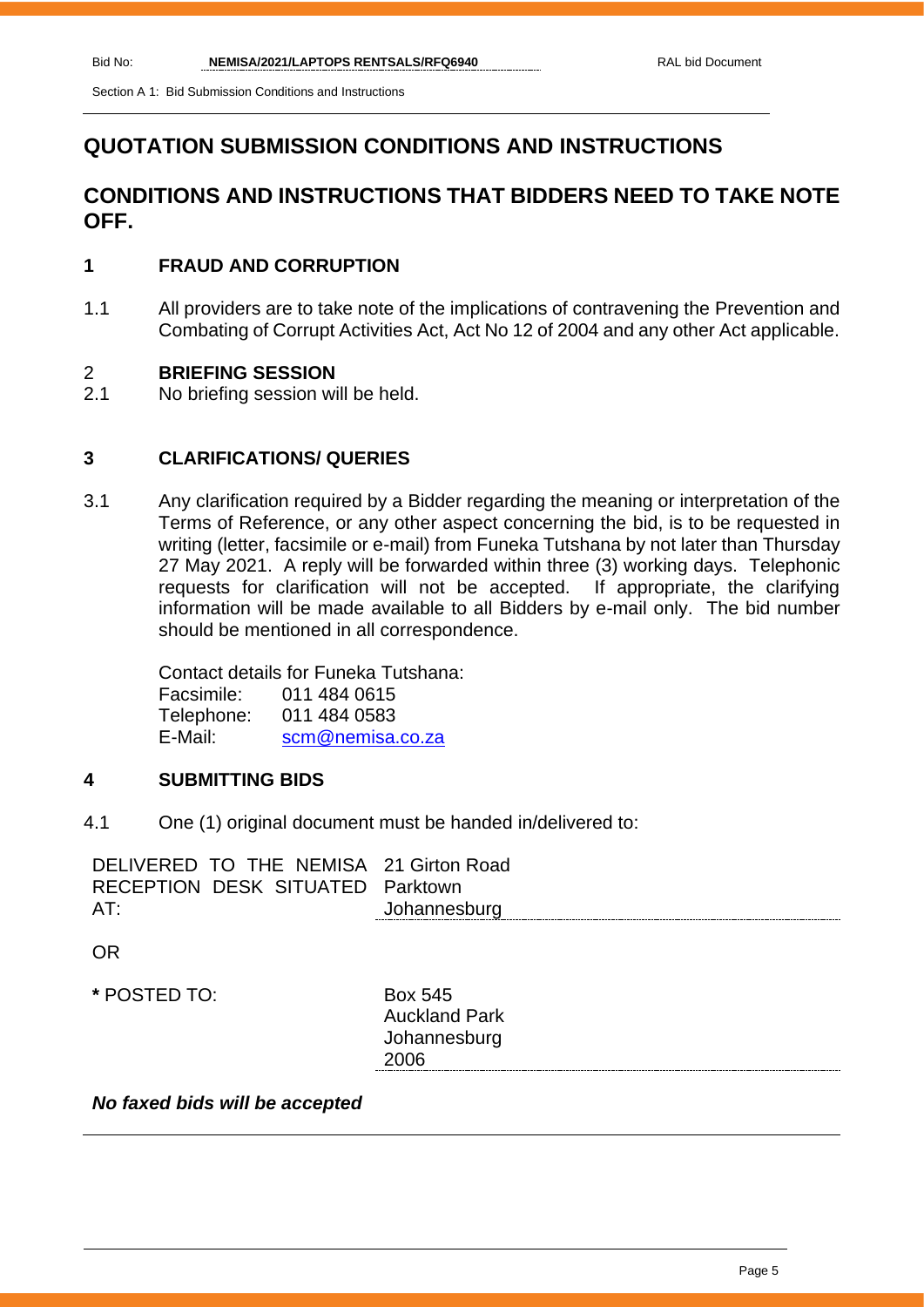Section A 1: Bid Submission Conditions and Instructions

#### **QUOTATION SUBMISSION CONDITIONS AND INSTRUCTIONS**

#### **CONDITIONS AND INSTRUCTIONS THAT BIDDERS NEED TO TAKE NOTE OFF.**

#### **1 FRAUD AND CORRUPTION**

1.1 All providers are to take note of the implications of contravening the Prevention and Combating of Corrupt Activities Act, Act No 12 of 2004 and any other Act applicable.

#### 2 **BRIEFING SESSION**

2.1 No briefing session will be held.

#### **3 CLARIFICATIONS/ QUERIES**

3.1 Any clarification required by a Bidder regarding the meaning or interpretation of the Terms of Reference, or any other aspect concerning the bid, is to be requested in writing (letter, facsimile or e-mail) from Funeka Tutshana by not later than Thursday 27 May 2021. A reply will be forwarded within three (3) working days. Telephonic requests for clarification will not be accepted. If appropriate, the clarifying information will be made available to all Bidders by e-mail only. The bid number should be mentioned in all correspondence.

Contact details for Funeka Tutshana: Facsimile: 011 484 0615 Telephone: 011 484 0583 E-Mail: [scm@nemisa.co.za](mailto:scm@nemisa.co.za)

#### **4 SUBMITTING BIDS**

4.1 One (1) original document must be handed in/delivered to:

DELIVERED TO THE NEMISA 21 Girton Road RECEPTION DESK SITUATED Parktown AT: Johannesburg

OR

**\*** POSTED TO: Box 545

Auckland Park **Johannesburg** 2006

#### *No faxed bids will be accepted*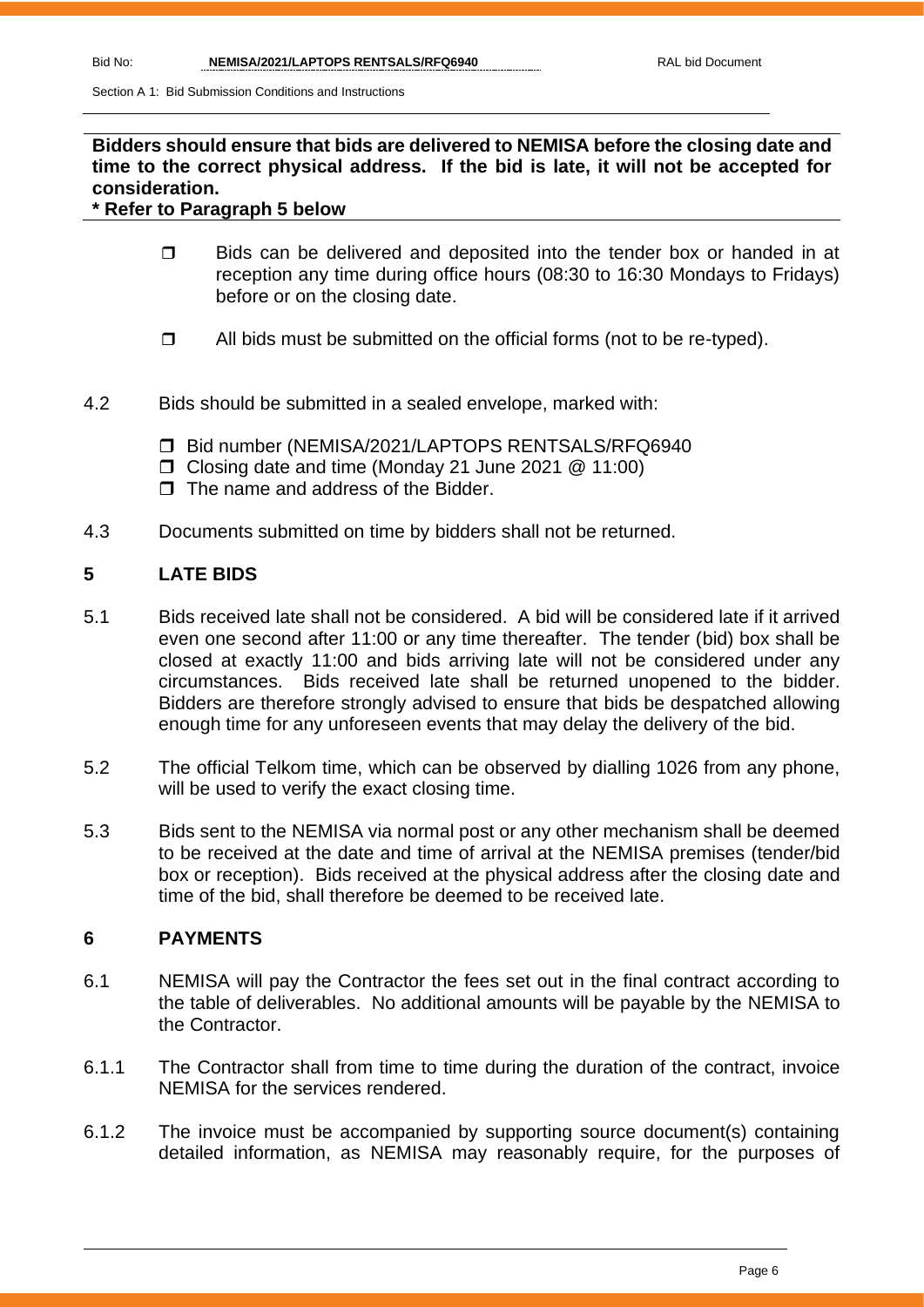Section A 1: Bid Submission Conditions and Instructions

**Bidders should ensure that bids are delivered to NEMISA before the closing date and time to the correct physical address. If the bid is late, it will not be accepted for consideration.**

#### **\* Refer to Paragraph 5 below**

- $\Box$  Bids can be delivered and deposited into the tender box or handed in at reception any time during office hours (08:30 to 16:30 Mondays to Fridays) before or on the closing date.
- $\Box$  All bids must be submitted on the official forms (not to be re-typed).
- 4.2 Bids should be submitted in a sealed envelope, marked with:
	- □ Bid number (NEMISA/2021/LAPTOPS RENTSALS/RFQ6940
	- □ Closing date and time (Monday 21 June 2021 @ 11:00)
	- $\Box$  The name and address of the Bidder.
- 4.3 Documents submitted on time by bidders shall not be returned.

#### **5 LATE BIDS**

- 5.1 Bids received late shall not be considered. A bid will be considered late if it arrived even one second after 11:00 or any time thereafter. The tender (bid) box shall be closed at exactly 11:00 and bids arriving late will not be considered under any circumstances. Bids received late shall be returned unopened to the bidder. Bidders are therefore strongly advised to ensure that bids be despatched allowing enough time for any unforeseen events that may delay the delivery of the bid.
- 5.2 The official Telkom time, which can be observed by dialling 1026 from any phone, will be used to verify the exact closing time.
- 5.3 Bids sent to the NEMISA via normal post or any other mechanism shall be deemed to be received at the date and time of arrival at the NEMISA premises (tender/bid box or reception). Bids received at the physical address after the closing date and time of the bid, shall therefore be deemed to be received late.

#### **6 PAYMENTS**

- 6.1 NEMISA will pay the Contractor the fees set out in the final contract according to the table of deliverables. No additional amounts will be payable by the NEMISA to the Contractor.
- 6.1.1 The Contractor shall from time to time during the duration of the contract, invoice NEMISA for the services rendered.
- 6.1.2 The invoice must be accompanied by supporting source document(s) containing detailed information, as NEMISA may reasonably require, for the purposes of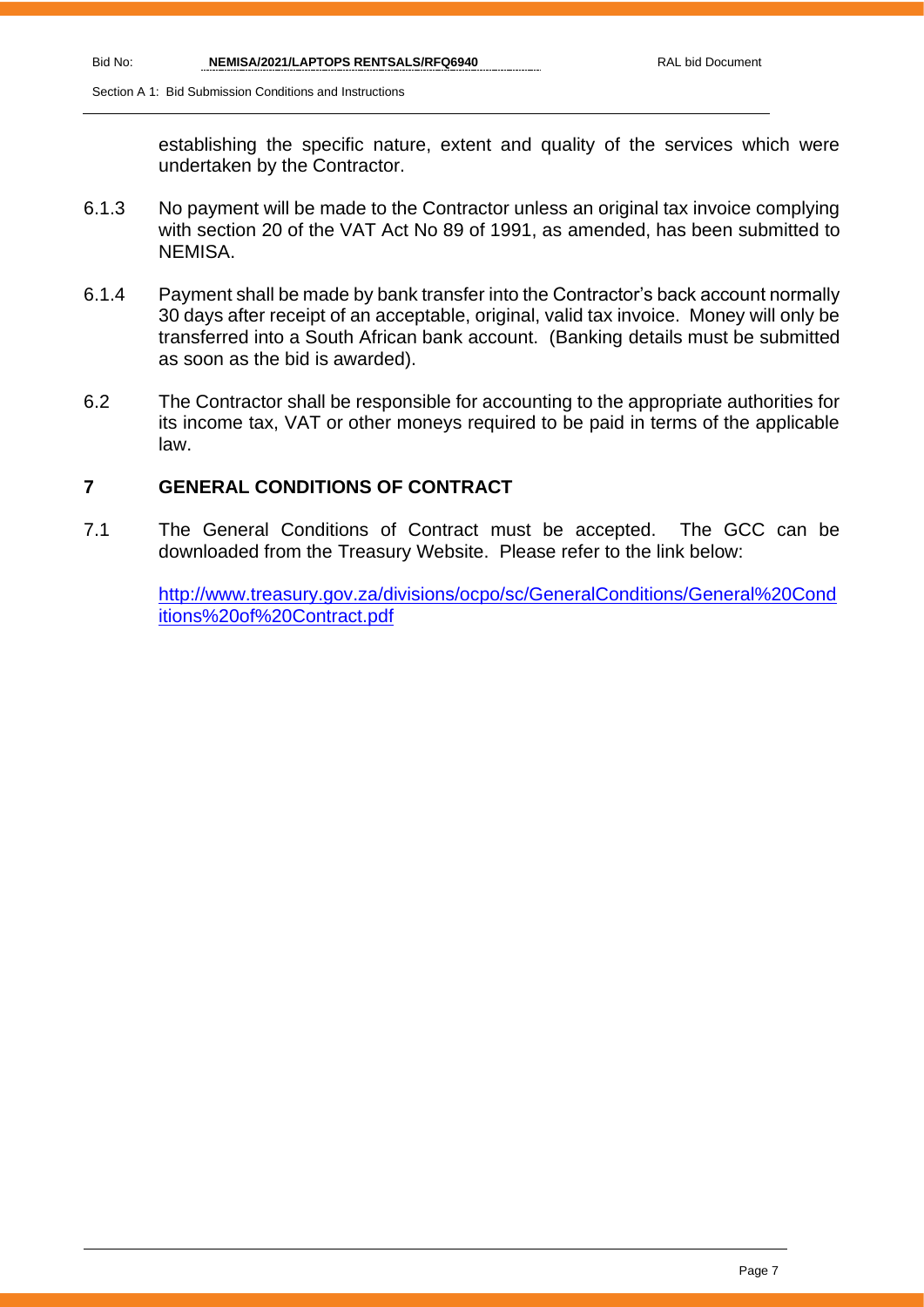Section A 1: Bid Submission Conditions and Instructions

establishing the specific nature, extent and quality of the services which were undertaken by the Contractor.

- 6.1.3 No payment will be made to the Contractor unless an original tax invoice complying with section 20 of the VAT Act No 89 of 1991, as amended, has been submitted to NEMISA.
- 6.1.4 Payment shall be made by bank transfer into the Contractor's back account normally 30 days after receipt of an acceptable, original, valid tax invoice. Money will only be transferred into a South African bank account. (Banking details must be submitted as soon as the bid is awarded).
- 6.2 The Contractor shall be responsible for accounting to the appropriate authorities for its income tax, VAT or other moneys required to be paid in terms of the applicable law.

#### **7 GENERAL CONDITIONS OF CONTRACT**

7.1 The General Conditions of Contract must be accepted. The GCC can be downloaded from the Treasury Website. Please refer to the link below:

[http://www.treasury.gov.za/divisions/ocpo/sc/GeneralConditions/General%20Cond](http://www.treasury.gov.za/divisions/ocpo/sc/GeneralConditions/General%20Conditions%20of%20Contract.pdf) [itions%20of%20Contract.pdf](http://www.treasury.gov.za/divisions/ocpo/sc/GeneralConditions/General%20Conditions%20of%20Contract.pdf)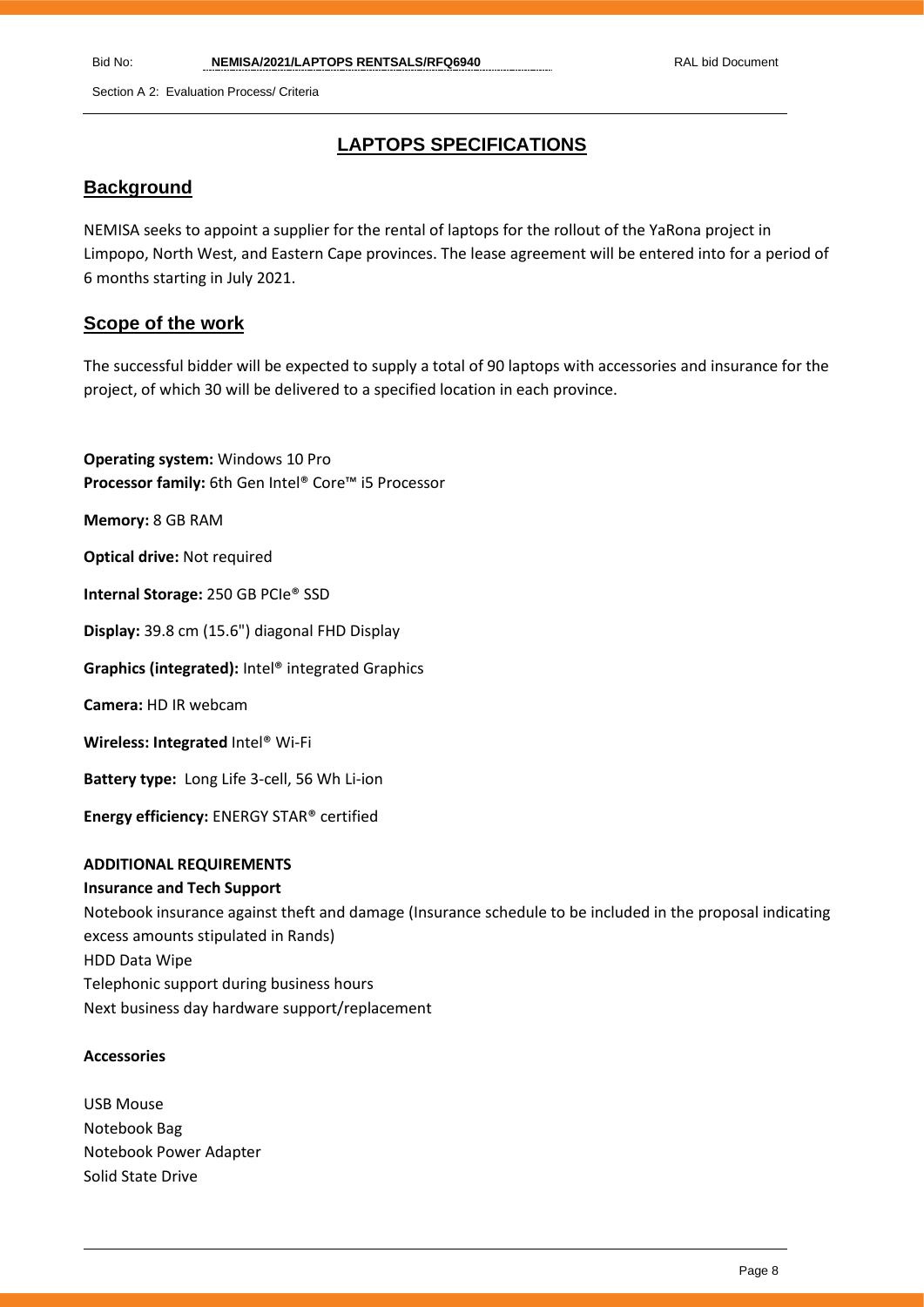Section A 2: Evaluation Process/ Criteria

#### **LAPTOPS SPECIFICATIONS**

#### **Background**

NEMISA seeks to appoint a supplier for the rental of laptops for the rollout of the YaRona project in Limpopo, North West, and Eastern Cape provinces. The lease agreement will be entered into for a period of 6 months starting in July 2021.

#### **Scope of the work**

The successful bidder will be expected to supply a total of 90 laptops with accessories and insurance for the project, of which 30 will be delivered to a specified location in each province.

**Operating system:** Windows 10 Pro **Processor family:** 6th Gen Intel® Core™ i5 Processor

**Memory:** 8 GB RAM

**Optical drive:** Not required

**Internal Storage:** 250 GB PCIe® SSD

**Display:** 39.8 cm (15.6") diagonal FHD Display

**Graphics (integrated):** Intel® integrated Graphics

**Camera:** HD IR webcam

**Wireless: Integrated** Intel® Wi-Fi

**Battery type:** Long Life 3-cell, 56 Wh Li-ion

**Energy efficiency:** ENERGY STAR® certified

#### **ADDITIONAL REQUIREMENTS**

#### **Insurance and Tech Support**

Notebook insurance against theft and damage (Insurance schedule to be included in the proposal indicating excess amounts stipulated in Rands) HDD Data Wipe Telephonic support during business hours Next business day hardware support/replacement

#### **Accessories**

USB Mouse Notebook Bag Notebook Power Adapter Solid State Drive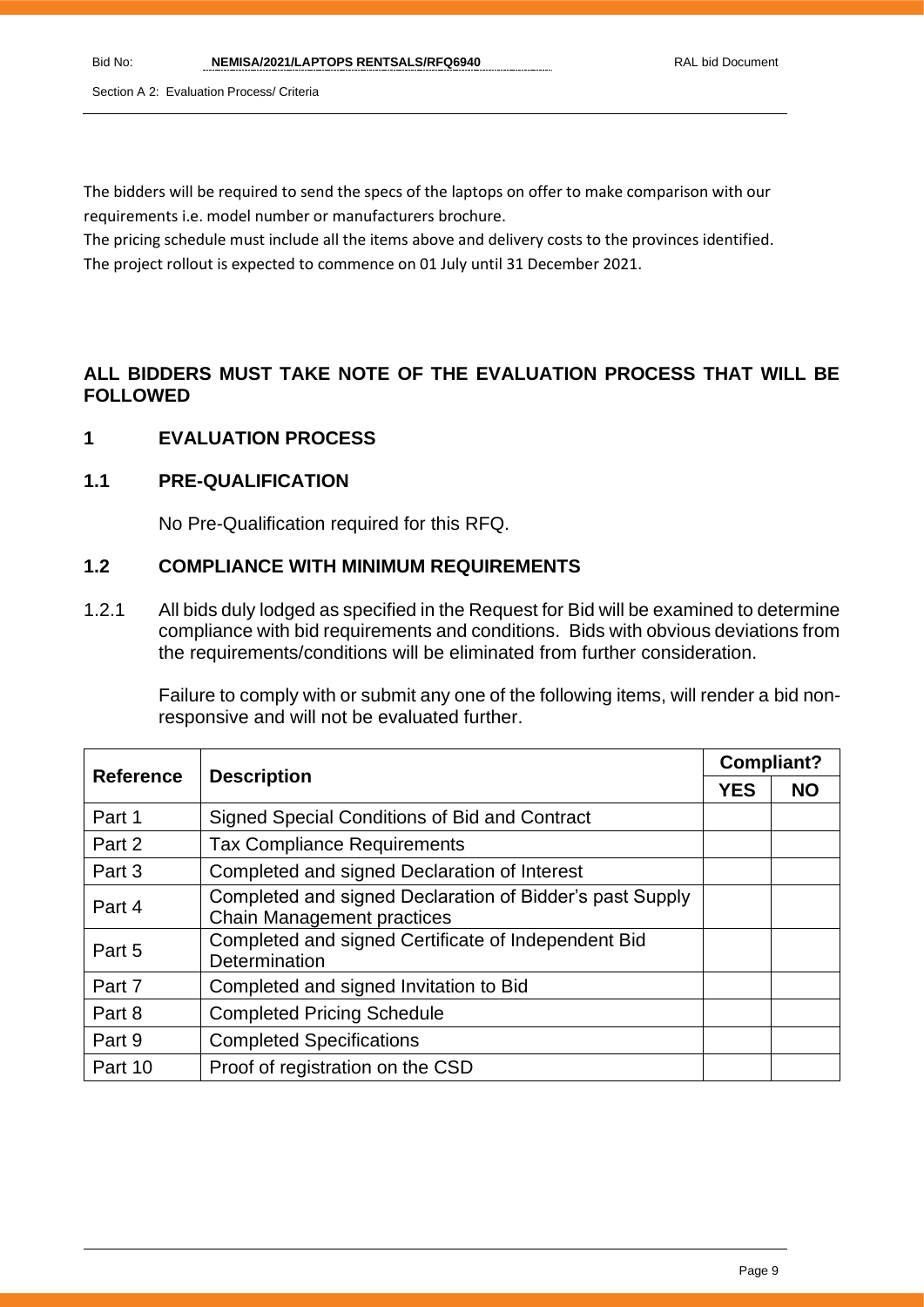Section A 2: Evaluation Process/ Criteria

The bidders will be required to send the specs of the laptops on offer to make comparison with our requirements i.e. model number or manufacturers brochure.

The pricing schedule must include all the items above and delivery costs to the provinces identified. The project rollout is expected to commence on 01 July until 31 December 2021.

#### **ALL BIDDERS MUST TAKE NOTE OF THE EVALUATION PROCESS THAT WILL BE FOLLOWED**

#### **1 EVALUATION PROCESS**

#### **1.1 PRE-QUALIFICATION**

No Pre-Qualification required for this RFQ.

#### **1.2 COMPLIANCE WITH MINIMUM REQUIREMENTS**

1.2.1 All bids duly lodged as specified in the Request for Bid will be examined to determine compliance with bid requirements and conditions. Bids with obvious deviations from the requirements/conditions will be eliminated from further consideration.

Failure to comply with or submit any one of the following items, will render a bid nonresponsive and will not be evaluated further.

| <b>Reference</b> | <b>Description</b>                                                                     |  | <b>Compliant?</b> |  |
|------------------|----------------------------------------------------------------------------------------|--|-------------------|--|
|                  |                                                                                        |  | <b>NO</b>         |  |
| Part 1           | Signed Special Conditions of Bid and Contract                                          |  |                   |  |
| Part 2           | <b>Tax Compliance Requirements</b>                                                     |  |                   |  |
| Part 3           | Completed and signed Declaration of Interest                                           |  |                   |  |
| Part 4           | Completed and signed Declaration of Bidder's past Supply<br>Chain Management practices |  |                   |  |
| Part 5           | Completed and signed Certificate of Independent Bid<br>Determination                   |  |                   |  |
| Part 7           | Completed and signed Invitation to Bid                                                 |  |                   |  |
| Part 8           | <b>Completed Pricing Schedule</b>                                                      |  |                   |  |
| Part 9           | <b>Completed Specifications</b>                                                        |  |                   |  |
| Part 10          | Proof of registration on the CSD                                                       |  |                   |  |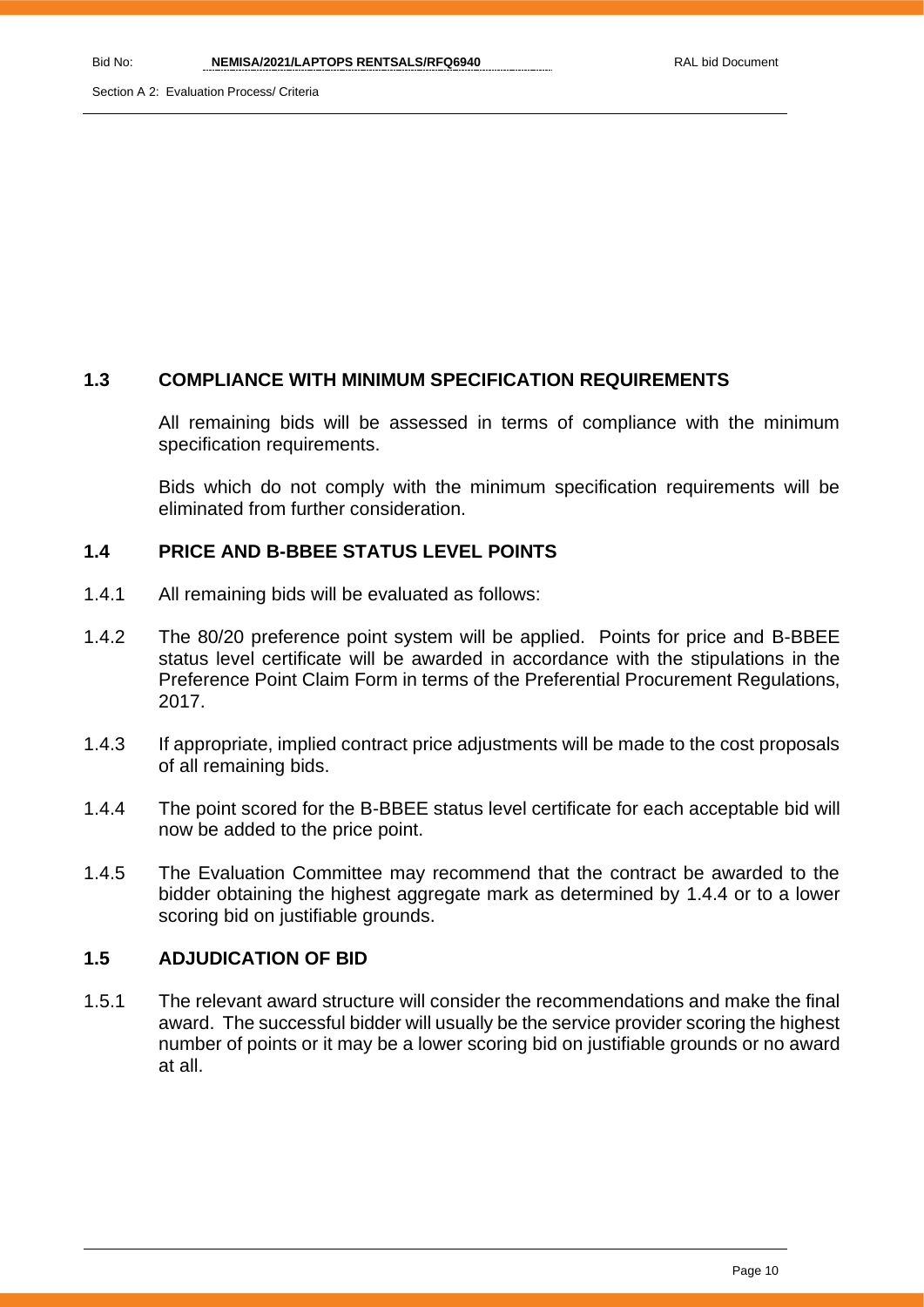Section A 2: Evaluation Process/ Criteria

#### **1.3 COMPLIANCE WITH MINIMUM SPECIFICATION REQUIREMENTS**

All remaining bids will be assessed in terms of compliance with the minimum specification requirements.

Bids which do not comply with the minimum specification requirements will be eliminated from further consideration.

#### **1.4 PRICE AND B-BBEE STATUS LEVEL POINTS**

- 1.4.1 All remaining bids will be evaluated as follows:
- 1.4.2 The 80/20 preference point system will be applied. Points for price and B-BBEE status level certificate will be awarded in accordance with the stipulations in the Preference Point Claim Form in terms of the Preferential Procurement Regulations, 2017.
- 1.4.3 If appropriate, implied contract price adjustments will be made to the cost proposals of all remaining bids.
- 1.4.4 The point scored for the B-BBEE status level certificate for each acceptable bid will now be added to the price point.
- 1.4.5 The Evaluation Committee may recommend that the contract be awarded to the bidder obtaining the highest aggregate mark as determined by 1.4.4 or to a lower scoring bid on justifiable grounds.

#### **1.5 ADJUDICATION OF BID**

1.5.1 The relevant award structure will consider the recommendations and make the final award. The successful bidder will usually be the service provider scoring the highest number of points or it may be a lower scoring bid on justifiable grounds or no award at all.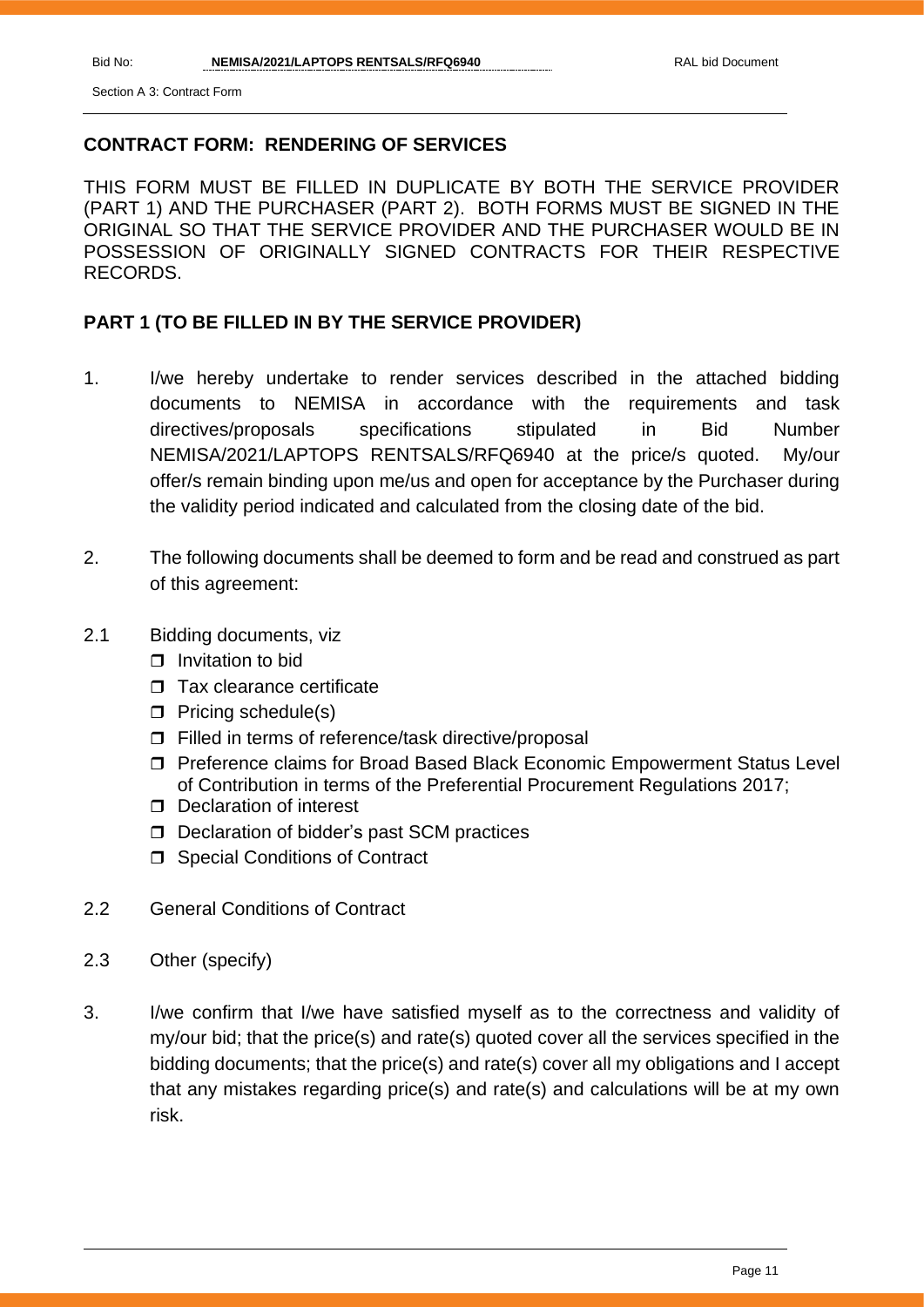#### **CONTRACT FORM: RENDERING OF SERVICES**

THIS FORM MUST BE FILLED IN DUPLICATE BY BOTH THE SERVICE PROVIDER (PART 1) AND THE PURCHASER (PART 2). BOTH FORMS MUST BE SIGNED IN THE ORIGINAL SO THAT THE SERVICE PROVIDER AND THE PURCHASER WOULD BE IN POSSESSION OF ORIGINALLY SIGNED CONTRACTS FOR THEIR RESPECTIVE RECORDS.

#### **PART 1 (TO BE FILLED IN BY THE SERVICE PROVIDER)**

- 1. I/we hereby undertake to render services described in the attached bidding documents to NEMISA in accordance with the requirements and task directives/proposals specifications stipulated in Bid Number NEMISA/2021/LAPTOPS RENTSALS/RFQ6940 at the price/s quoted. My/our offer/s remain binding upon me/us and open for acceptance by the Purchaser during the validity period indicated and calculated from the closing date of the bid.
- 2. The following documents shall be deemed to form and be read and construed as part of this agreement:
- 2.1 Bidding documents, viz
	- $\Box$  Invitation to bid
	- $\Box$  Tax clearance certificate
	- $\Box$  Pricing schedule(s)
	- □ Filled in terms of reference/task directive/proposal
	- □ Preference claims for Broad Based Black Economic Empowerment Status Level of Contribution in terms of the Preferential Procurement Regulations 2017;
	- $\Box$  Declaration of interest
	- D Declaration of bidder's past SCM practices
	- □ Special Conditions of Contract
- 2.2 General Conditions of Contract
- 2.3 Other (specify)
- 3. I/we confirm that I/we have satisfied myself as to the correctness and validity of my/our bid; that the price(s) and rate(s) quoted cover all the services specified in the bidding documents; that the price(s) and rate(s) cover all my obligations and I accept that any mistakes regarding price(s) and rate(s) and calculations will be at my own risk.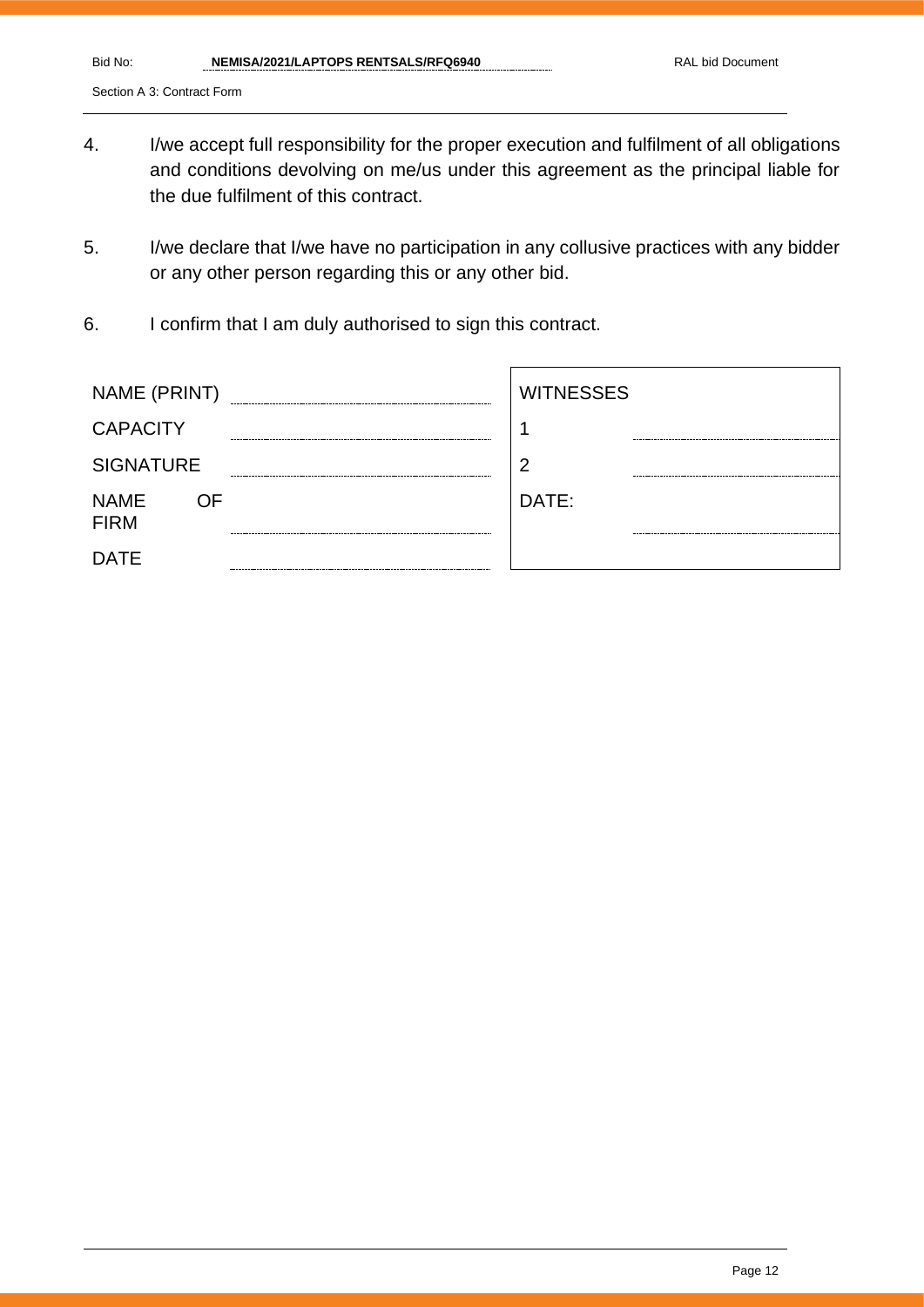- 4. I/we accept full responsibility for the proper execution and fulfilment of all obligations and conditions devolving on me/us under this agreement as the principal liable for the due fulfilment of this contract.
- 5. I/we declare that I/we have no participation in any collusive practices with any bidder or any other person regarding this or any other bid.
- 6. I confirm that I am duly authorised to sign this contract.

| NAME (PRINT)<br>------------------------- |  | <b>WITNESSES</b> |  |
|-------------------------------------------|--|------------------|--|
| <b>CAPACITY</b>                           |  |                  |  |
| <b>SIGNATURE</b>                          |  | r                |  |
| <b>NAME</b><br>ΩE<br><b>FIRM</b>          |  | DATE:            |  |
| <b>DATE</b>                               |  |                  |  |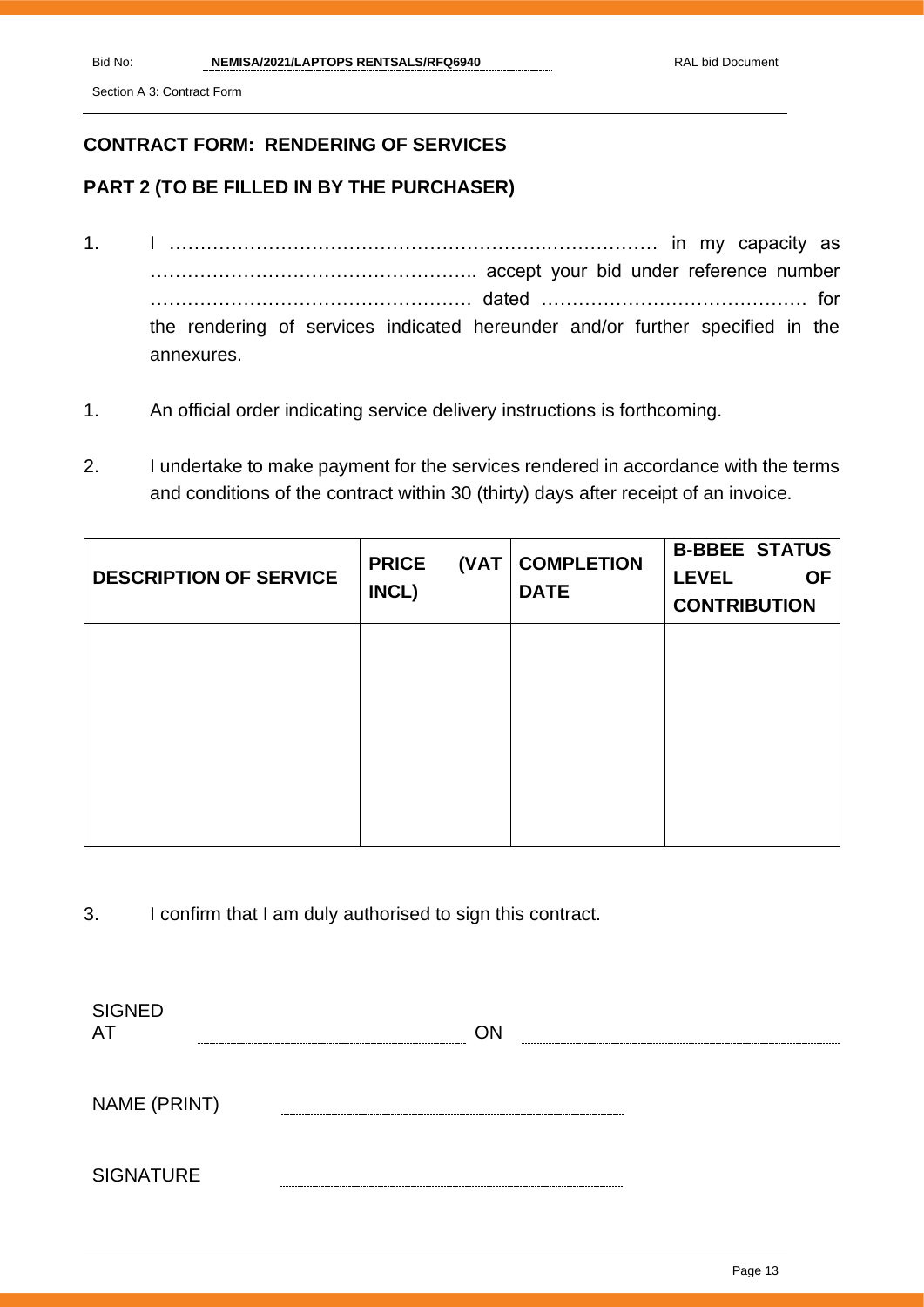#### **CONTRACT FORM: RENDERING OF SERVICES**

#### **PART 2 (TO BE FILLED IN BY THE PURCHASER)**

- 1. I …………………………………………………….……………… in my capacity as …………………………………………….. accept your bid under reference number ……………………………………………. dated ……………………………………. for the rendering of services indicated hereunder and/or further specified in the annexures.
- 1. An official order indicating service delivery instructions is forthcoming.
- 2. I undertake to make payment for the services rendered in accordance with the terms and conditions of the contract within 30 (thirty) days after receipt of an invoice.

| <b>DESCRIPTION OF SERVICE</b> | <b>PRICE</b><br>INCL) | (VAT | <b>COMPLETION</b><br><b>DATE</b> | <b>B-BBEE STATUS</b><br><b>LEVEL</b><br><b>OF</b><br><b>CONTRIBUTION</b> |
|-------------------------------|-----------------------|------|----------------------------------|--------------------------------------------------------------------------|
|                               |                       |      |                                  |                                                                          |
|                               |                       |      |                                  |                                                                          |
|                               |                       |      |                                  |                                                                          |

3. I confirm that I am duly authorised to sign this contract.

**SIGNED** AT ON NAME (PRINT) **SIGNATURE**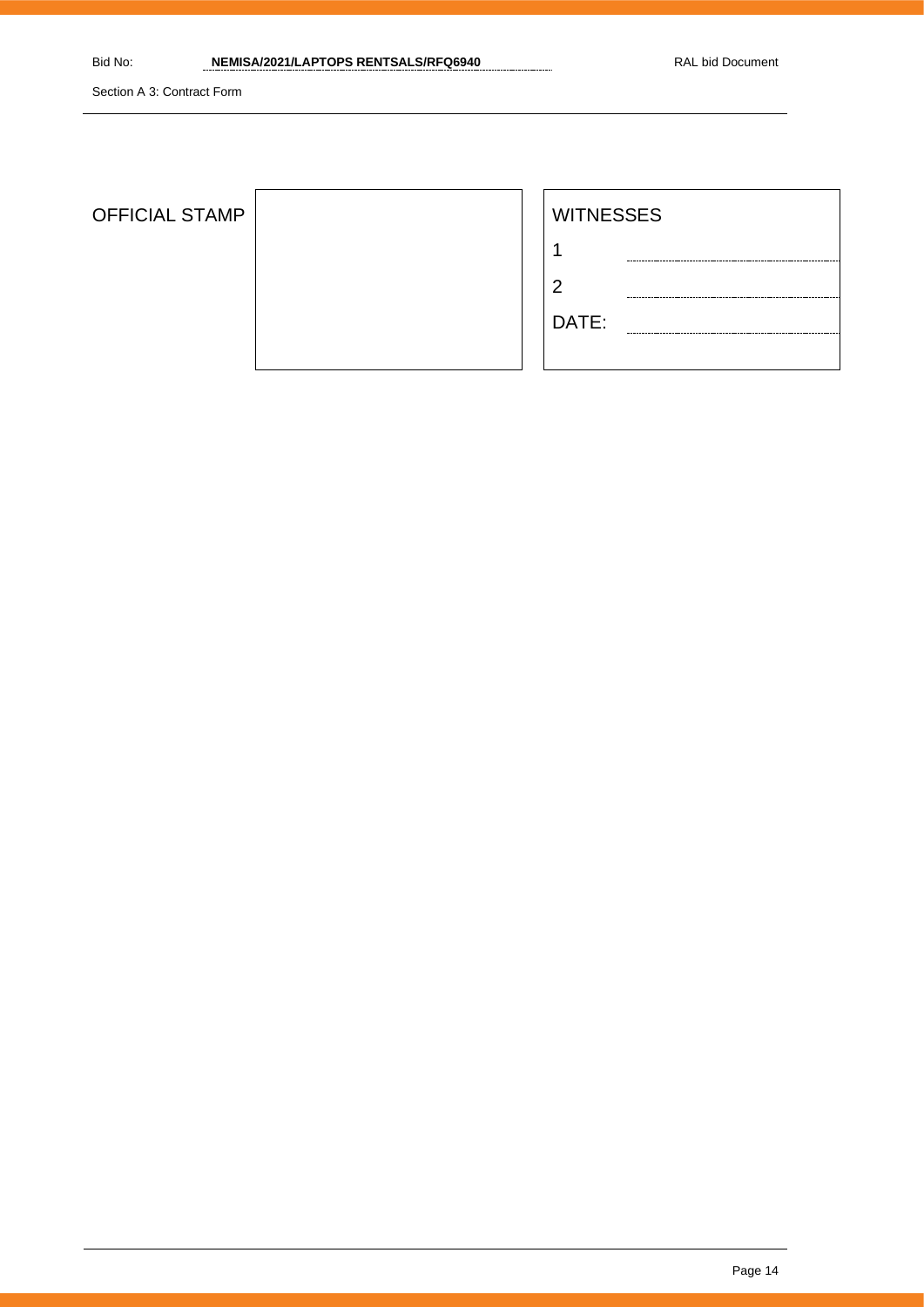### **OFFICIAL STAMP**

| <b>WITNESSES</b> |
|------------------|
|                  |
| 2                |
| DATE:            |
|                  |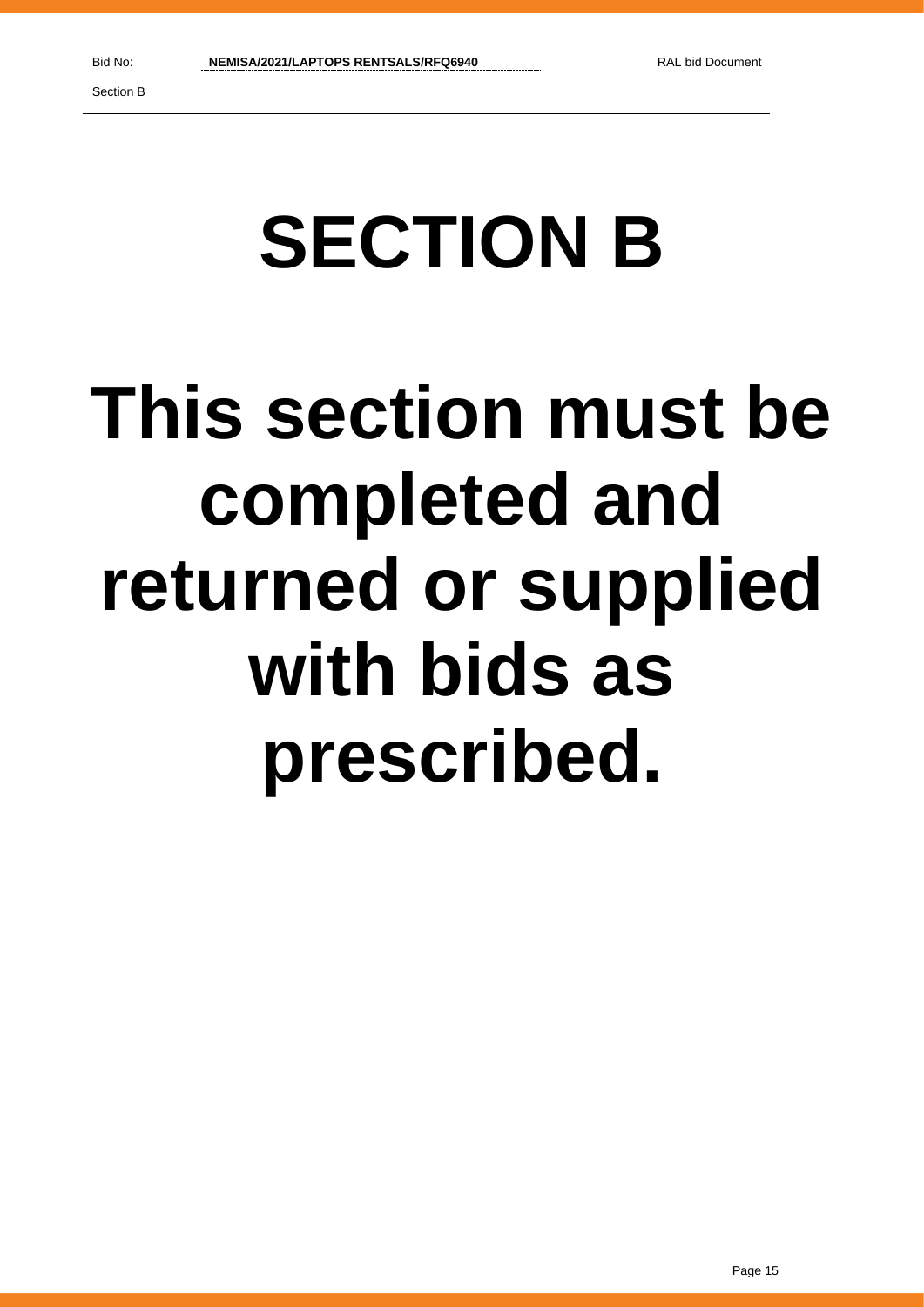# **SECTION B**

# **This section must be completed and returned or supplied with bids as prescribed.**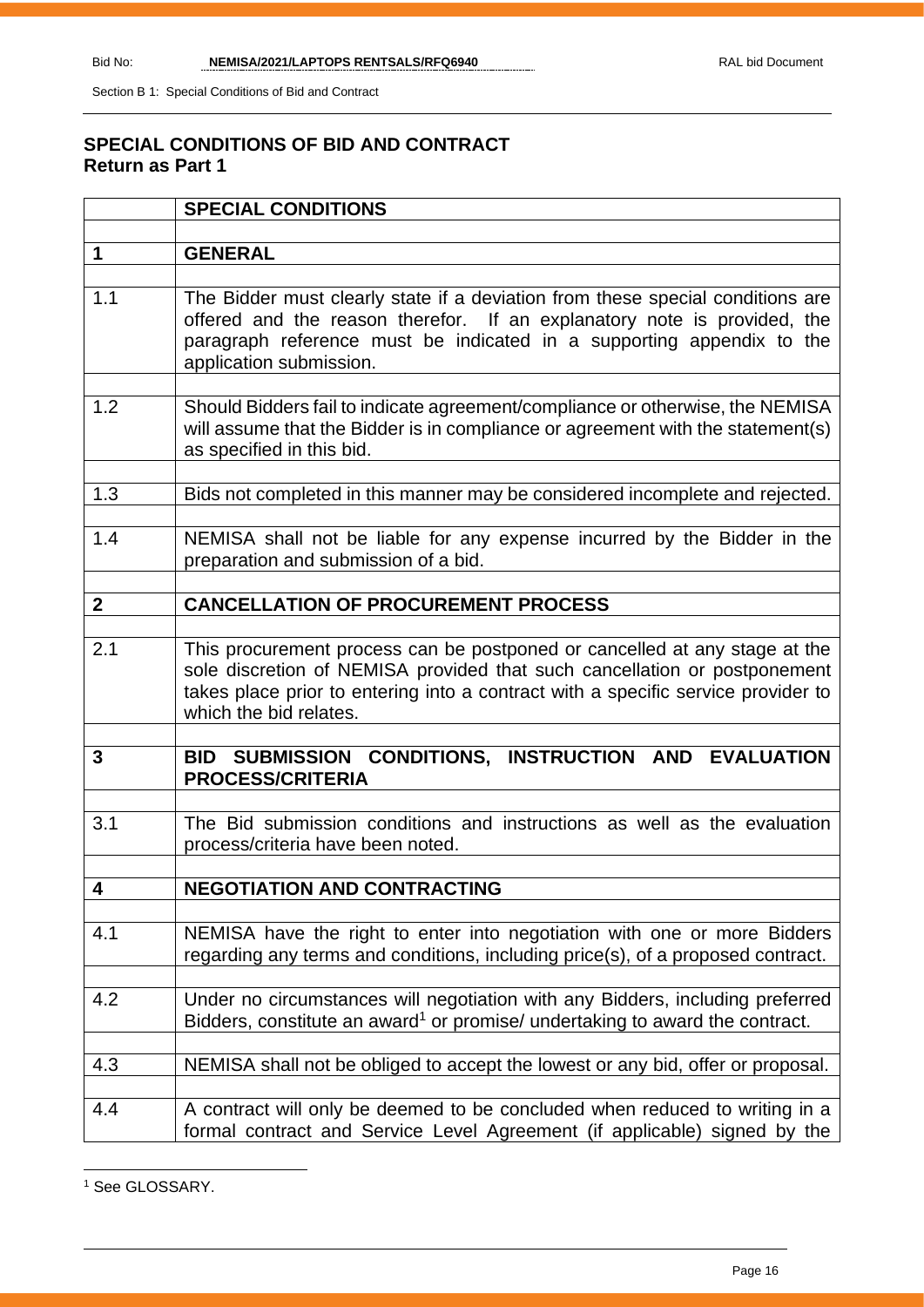#### **SPECIAL CONDITIONS OF BID AND CONTRACT Return as Part 1**

|              | <b>SPECIAL CONDITIONS</b>                                                                                                                                                                                                                                              |
|--------------|------------------------------------------------------------------------------------------------------------------------------------------------------------------------------------------------------------------------------------------------------------------------|
|              |                                                                                                                                                                                                                                                                        |
| 1            | <b>GENERAL</b>                                                                                                                                                                                                                                                         |
| 1.1          | The Bidder must clearly state if a deviation from these special conditions are<br>offered and the reason therefor. If an explanatory note is provided, the<br>paragraph reference must be indicated in a supporting appendix to the<br>application submission.         |
| 1.2          | Should Bidders fail to indicate agreement/compliance or otherwise, the NEMISA<br>will assume that the Bidder is in compliance or agreement with the statement(s)<br>as specified in this bid.                                                                          |
| 1.3          | Bids not completed in this manner may be considered incomplete and rejected.                                                                                                                                                                                           |
| 1.4          | NEMISA shall not be liable for any expense incurred by the Bidder in the<br>preparation and submission of a bid.                                                                                                                                                       |
| $\mathbf{2}$ | <b>CANCELLATION OF PROCUREMENT PROCESS</b>                                                                                                                                                                                                                             |
| 2.1          | This procurement process can be postponed or cancelled at any stage at the<br>sole discretion of NEMISA provided that such cancellation or postponement<br>takes place prior to entering into a contract with a specific service provider to<br>which the bid relates. |
| 3            | BID SUBMISSION CONDITIONS, INSTRUCTION AND EVALUATION<br><b>PROCESS/CRITERIA</b>                                                                                                                                                                                       |
| 3.1          | The Bid submission conditions and instructions as well as the evaluation<br>process/criteria have been noted.                                                                                                                                                          |
| 4            | <b>NEGOTIATION AND CONTRACTING</b>                                                                                                                                                                                                                                     |
|              |                                                                                                                                                                                                                                                                        |
| 4.1          | NEMISA have the right to enter into negotiation with one or more Bidders<br>regarding any terms and conditions, including price(s), of a proposed contract.                                                                                                            |
| 4.2          | Under no circumstances will negotiation with any Bidders, including preferred<br>Bidders, constitute an award <sup>1</sup> or promise/ undertaking to award the contract.                                                                                              |
| 4.3          | NEMISA shall not be obliged to accept the lowest or any bid, offer or proposal.                                                                                                                                                                                        |
| 4.4          | A contract will only be deemed to be concluded when reduced to writing in a<br>formal contract and Service Level Agreement (if applicable) signed by the                                                                                                               |

<sup>1</sup> See GLOSSARY.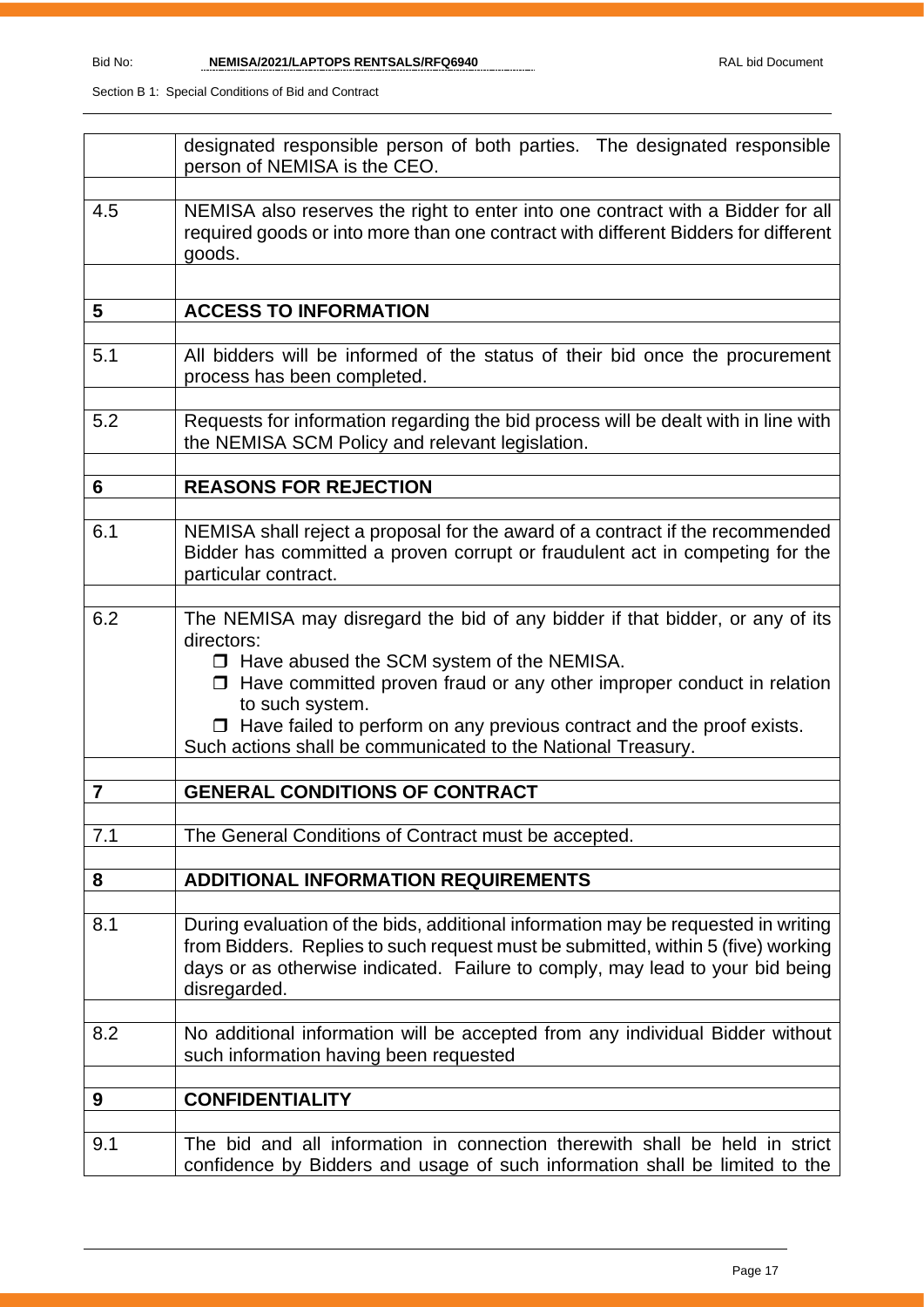|                | designated responsible person of both parties. The designated responsible<br>person of NEMISA is the CEO.                                                                                                                                                                                                    |
|----------------|--------------------------------------------------------------------------------------------------------------------------------------------------------------------------------------------------------------------------------------------------------------------------------------------------------------|
| 4.5            | NEMISA also reserves the right to enter into one contract with a Bidder for all<br>required goods or into more than one contract with different Bidders for different<br>goods.                                                                                                                              |
|                |                                                                                                                                                                                                                                                                                                              |
| 5              | <b>ACCESS TO INFORMATION</b>                                                                                                                                                                                                                                                                                 |
|                |                                                                                                                                                                                                                                                                                                              |
| 5.1            | All bidders will be informed of the status of their bid once the procurement<br>process has been completed.                                                                                                                                                                                                  |
| 5.2            | Requests for information regarding the bid process will be dealt with in line with<br>the NEMISA SCM Policy and relevant legislation.                                                                                                                                                                        |
| 6              | <b>REASONS FOR REJECTION</b>                                                                                                                                                                                                                                                                                 |
|                |                                                                                                                                                                                                                                                                                                              |
| 6.1            | NEMISA shall reject a proposal for the award of a contract if the recommended<br>Bidder has committed a proven corrupt or fraudulent act in competing for the<br>particular contract.                                                                                                                        |
| 6.2            | The NEMISA may disregard the bid of any bidder if that bidder, or any of its                                                                                                                                                                                                                                 |
|                | directors:<br>□ Have abused the SCM system of the NEMISA.<br>$\Box$ Have committed proven fraud or any other improper conduct in relation<br>to such system.<br>$\Box$ Have failed to perform on any previous contract and the proof exists.<br>Such actions shall be communicated to the National Treasury. |
|                |                                                                                                                                                                                                                                                                                                              |
| $\overline{7}$ | <b>GENERAL CONDITIONS OF CONTRACT</b>                                                                                                                                                                                                                                                                        |
| 7.1            | The General Conditions of Contract must be accepted.                                                                                                                                                                                                                                                         |
|                |                                                                                                                                                                                                                                                                                                              |
| 8              | <b>ADDITIONAL INFORMATION REQUIREMENTS</b>                                                                                                                                                                                                                                                                   |
|                |                                                                                                                                                                                                                                                                                                              |
| 8.1            | During evaluation of the bids, additional information may be requested in writing<br>from Bidders. Replies to such request must be submitted, within 5 (five) working<br>days or as otherwise indicated. Failure to comply, may lead to your bid being<br>disregarded.                                       |
| 8.2            | No additional information will be accepted from any individual Bidder without                                                                                                                                                                                                                                |
|                | such information having been requested                                                                                                                                                                                                                                                                       |
|                |                                                                                                                                                                                                                                                                                                              |
| 9              | <b>CONFIDENTIALITY</b>                                                                                                                                                                                                                                                                                       |
| 9.1            | The bid and all information in connection therewith shall be held in strict<br>confidence by Bidders and usage of such information shall be limited to the                                                                                                                                                   |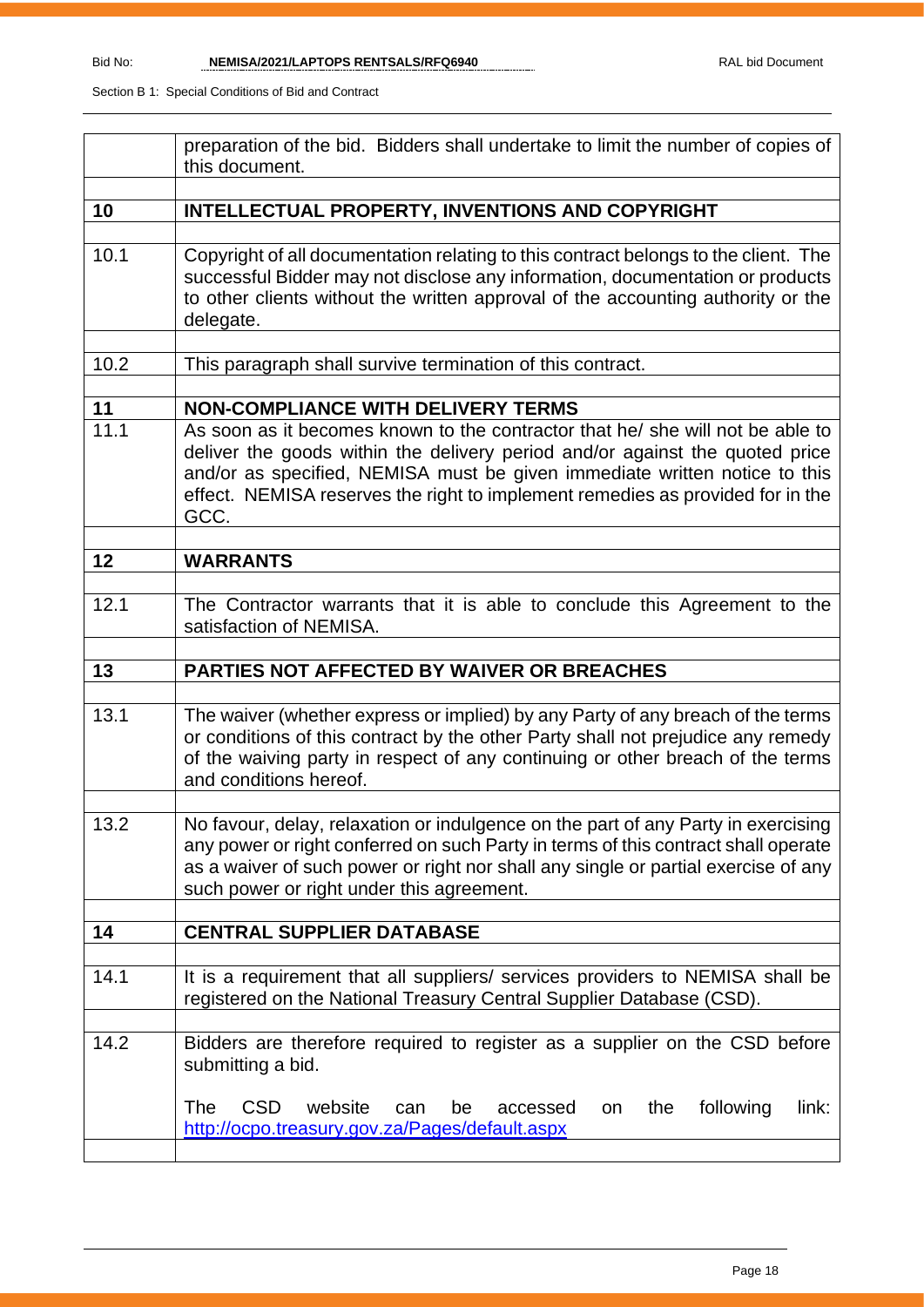|      | preparation of the bid. Bidders shall undertake to limit the number of copies of<br>this document.                                                                                                                                                                                                                                     |
|------|----------------------------------------------------------------------------------------------------------------------------------------------------------------------------------------------------------------------------------------------------------------------------------------------------------------------------------------|
| 10   | INTELLECTUAL PROPERTY, INVENTIONS AND COPYRIGHT                                                                                                                                                                                                                                                                                        |
|      |                                                                                                                                                                                                                                                                                                                                        |
| 10.1 | Copyright of all documentation relating to this contract belongs to the client. The<br>successful Bidder may not disclose any information, documentation or products<br>to other clients without the written approval of the accounting authority or the<br>delegate.                                                                  |
| 10.2 | This paragraph shall survive termination of this contract.                                                                                                                                                                                                                                                                             |
| 11   | <b>NON-COMPLIANCE WITH DELIVERY TERMS</b>                                                                                                                                                                                                                                                                                              |
| 11.1 | As soon as it becomes known to the contractor that he/ she will not be able to<br>deliver the goods within the delivery period and/or against the quoted price<br>and/or as specified, NEMISA must be given immediate written notice to this<br>effect. NEMISA reserves the right to implement remedies as provided for in the<br>GCC. |
| 12   | <b>WARRANTS</b>                                                                                                                                                                                                                                                                                                                        |
|      |                                                                                                                                                                                                                                                                                                                                        |
| 12.1 | The Contractor warrants that it is able to conclude this Agreement to the<br>satisfaction of NEMISA.                                                                                                                                                                                                                                   |
| 13   | PARTIES NOT AFFECTED BY WAIVER OR BREACHES                                                                                                                                                                                                                                                                                             |
|      |                                                                                                                                                                                                                                                                                                                                        |
| 13.1 | The waiver (whether express or implied) by any Party of any breach of the terms<br>or conditions of this contract by the other Party shall not prejudice any remedy<br>of the waiving party in respect of any continuing or other breach of the terms<br>and conditions hereof.                                                        |
| 13.2 | No favour, delay, relaxation or indulgence on the part of any Party in exercising                                                                                                                                                                                                                                                      |
|      | any power or right conferred on such Party in terms of this contract shall operate<br>as a waiver of such power or right nor shall any single or partial exercise of any<br>such power or right under this agreement.                                                                                                                  |
| 14   | <b>CENTRAL SUPPLIER DATABASE</b>                                                                                                                                                                                                                                                                                                       |
|      |                                                                                                                                                                                                                                                                                                                                        |
| 14.1 | It is a requirement that all suppliers/ services providers to NEMISA shall be<br>registered on the National Treasury Central Supplier Database (CSD).                                                                                                                                                                                  |
| 14.2 | Bidders are therefore required to register as a supplier on the CSD before<br>submitting a bid.                                                                                                                                                                                                                                        |
|      | <b>CSD</b><br><b>The</b><br>website<br>following<br>the<br>link:<br>be<br>accessed<br>can<br>on<br>http://ocpo.treasury.gov.za/Pages/default.aspx                                                                                                                                                                                      |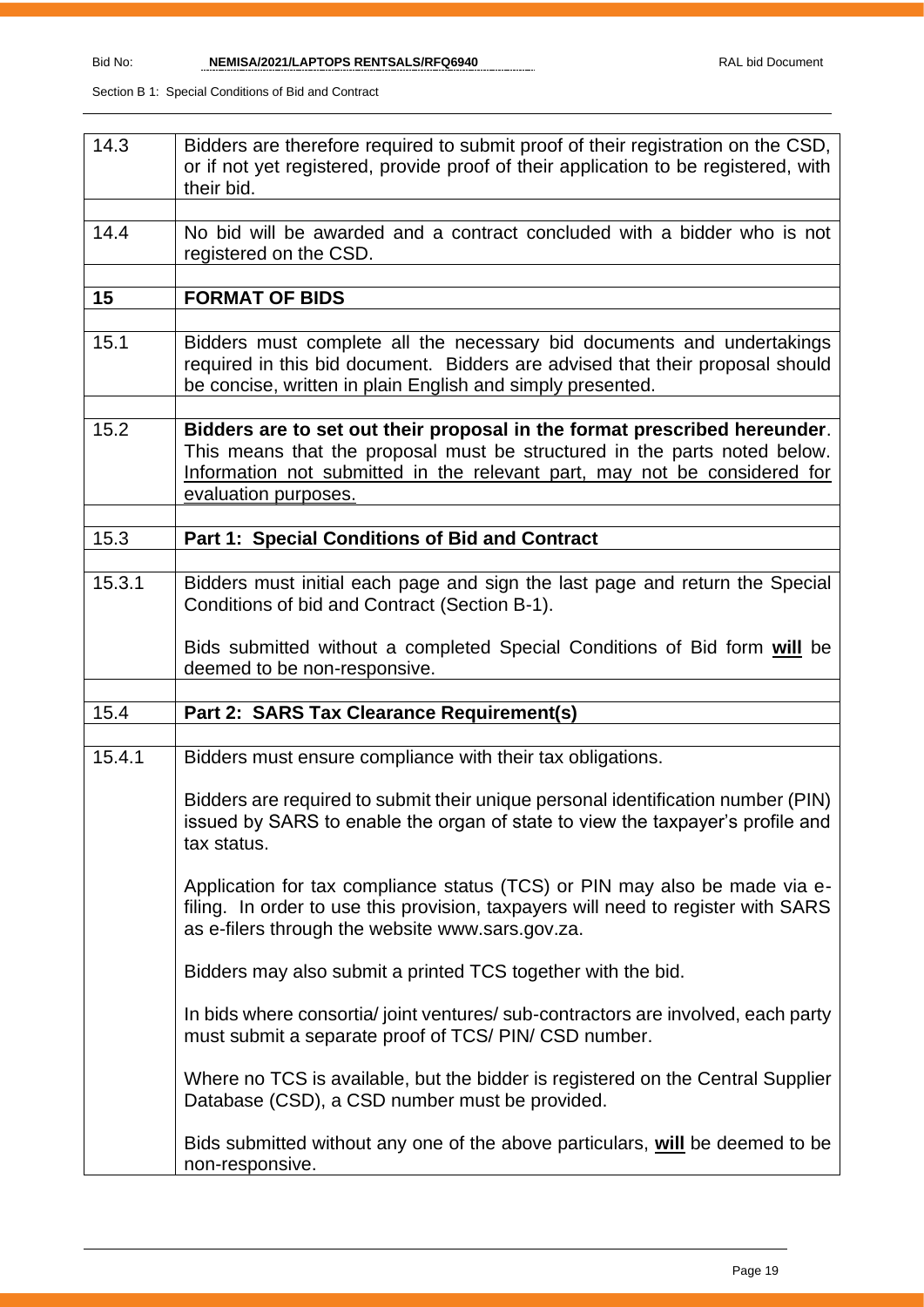| 14.3   | Bidders are therefore required to submit proof of their registration on the CSD,<br>or if not yet registered, provide proof of their application to be registered, with<br>their bid.                                                                       |
|--------|-------------------------------------------------------------------------------------------------------------------------------------------------------------------------------------------------------------------------------------------------------------|
| 14.4   | No bid will be awarded and a contract concluded with a bidder who is not<br>registered on the CSD.                                                                                                                                                          |
| 15     | <b>FORMAT OF BIDS</b>                                                                                                                                                                                                                                       |
| 15.1   | Bidders must complete all the necessary bid documents and undertakings<br>required in this bid document. Bidders are advised that their proposal should<br>be concise, written in plain English and simply presented.                                       |
| 15.2   | Bidders are to set out their proposal in the format prescribed hereunder.<br>This means that the proposal must be structured in the parts noted below.<br>Information not submitted in the relevant part, may not be considered for<br>evaluation purposes. |
| 15.3   | Part 1: Special Conditions of Bid and Contract                                                                                                                                                                                                              |
|        |                                                                                                                                                                                                                                                             |
| 15.3.1 | Bidders must initial each page and sign the last page and return the Special<br>Conditions of bid and Contract (Section B-1).                                                                                                                               |
|        | Bids submitted without a completed Special Conditions of Bid form will be<br>deemed to be non-responsive.                                                                                                                                                   |
|        |                                                                                                                                                                                                                                                             |
| 15.4   | Part 2: SARS Tax Clearance Requirement(s)                                                                                                                                                                                                                   |
| 15.4.1 | Bidders must ensure compliance with their tax obligations.                                                                                                                                                                                                  |
|        | Bidders are required to submit their unique personal identification number (PIN)<br>issued by SARS to enable the organ of state to view the taxpayer's profile and<br>tax status.                                                                           |
|        | Application for tax compliance status (TCS) or PIN may also be made via e-<br>filing. In order to use this provision, taxpayers will need to register with SARS<br>as e-filers through the website www.sars.gov.za.                                         |
|        | Bidders may also submit a printed TCS together with the bid.                                                                                                                                                                                                |
|        | In bids where consortia/joint ventures/sub-contractors are involved, each party<br>must submit a separate proof of TCS/ PIN/ CSD number.                                                                                                                    |
|        | Where no TCS is available, but the bidder is registered on the Central Supplier<br>Database (CSD), a CSD number must be provided.                                                                                                                           |
|        | Bids submitted without any one of the above particulars, will be deemed to be<br>non-responsive.                                                                                                                                                            |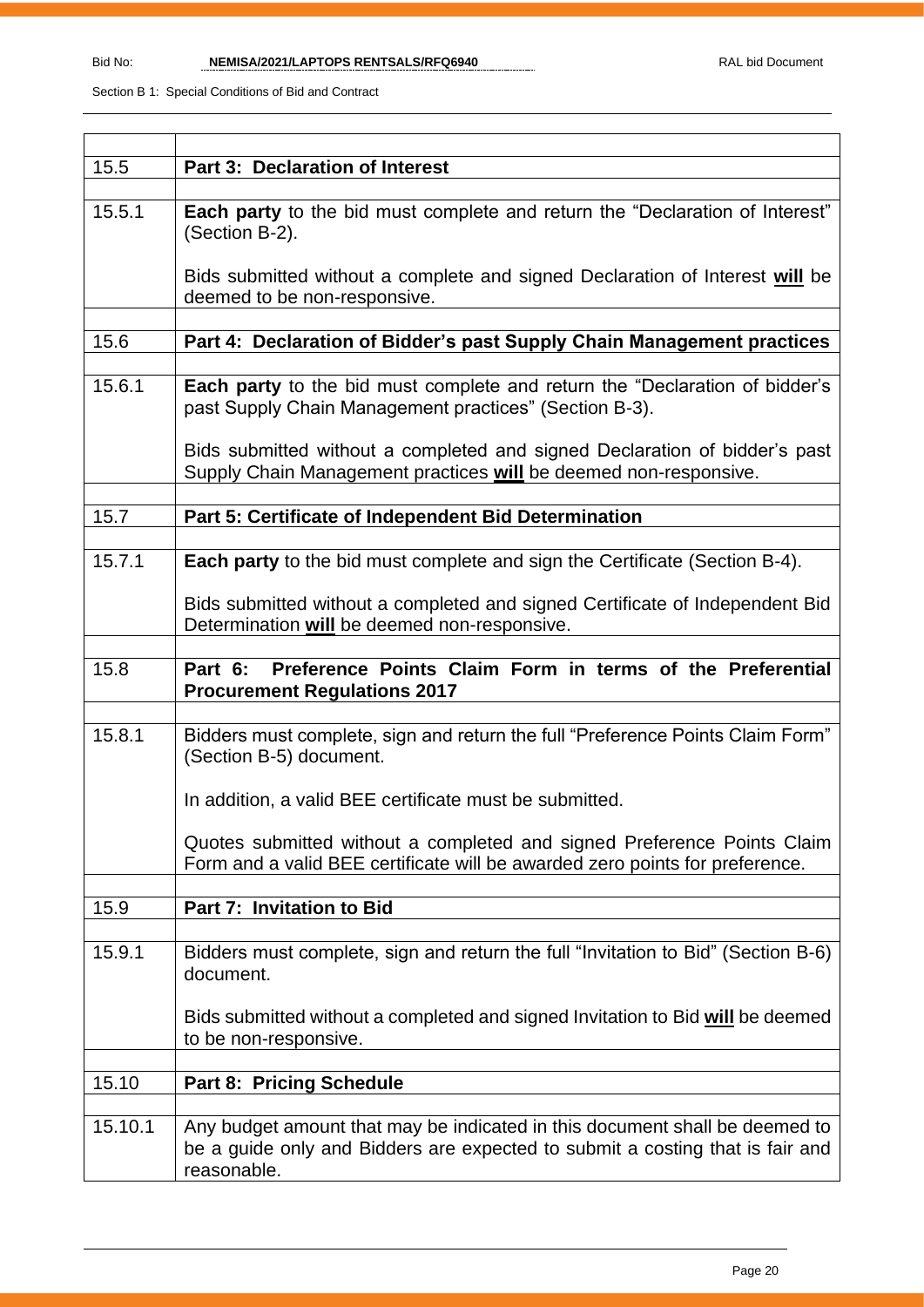| 15.5    | <b>Part 3: Declaration of Interest</b>                                                                                                                                      |
|---------|-----------------------------------------------------------------------------------------------------------------------------------------------------------------------------|
| 15.5.1  | <b>Each party</b> to the bid must complete and return the "Declaration of Interest"<br>(Section B-2).                                                                       |
|         | Bids submitted without a complete and signed Declaration of Interest will be<br>deemed to be non-responsive.                                                                |
| 15.6    | Part 4: Declaration of Bidder's past Supply Chain Management practices                                                                                                      |
|         |                                                                                                                                                                             |
| 15.6.1  | <b>Each party</b> to the bid must complete and return the "Declaration of bidder's<br>past Supply Chain Management practices" (Section B-3).                                |
|         | Bids submitted without a completed and signed Declaration of bidder's past<br>Supply Chain Management practices will be deemed non-responsive.                              |
| 15.7    | Part 5: Certificate of Independent Bid Determination                                                                                                                        |
|         |                                                                                                                                                                             |
| 15.7.1  | <b>Each party</b> to the bid must complete and sign the Certificate (Section B-4).                                                                                          |
|         | Bids submitted without a completed and signed Certificate of Independent Bid<br>Determination will be deemed non-responsive.                                                |
| 15.8    | Preference Points Claim Form in terms of the Preferential<br>Part 6:                                                                                                        |
|         | <b>Procurement Regulations 2017</b>                                                                                                                                         |
| 15.8.1  | Bidders must complete, sign and return the full "Preference Points Claim Form"<br>(Section B-5) document.                                                                   |
|         | In addition, a valid BEE certificate must be submitted.                                                                                                                     |
|         | Quotes submitted without a completed and signed Preference Points Claim<br>Form and a valid BEE certificate will be awarded zero points for preference.                     |
| 15.9    | <b>Part 7: Invitation to Bid</b>                                                                                                                                            |
|         |                                                                                                                                                                             |
| 15.9.1  | Bidders must complete, sign and return the full "Invitation to Bid" (Section B-6)<br>document.                                                                              |
|         | Bids submitted without a completed and signed Invitation to Bid will be deemed<br>to be non-responsive.                                                                     |
| 15.10   | <b>Part 8: Pricing Schedule</b>                                                                                                                                             |
|         |                                                                                                                                                                             |
| 15.10.1 | Any budget amount that may be indicated in this document shall be deemed to<br>be a guide only and Bidders are expected to submit a costing that is fair and<br>reasonable. |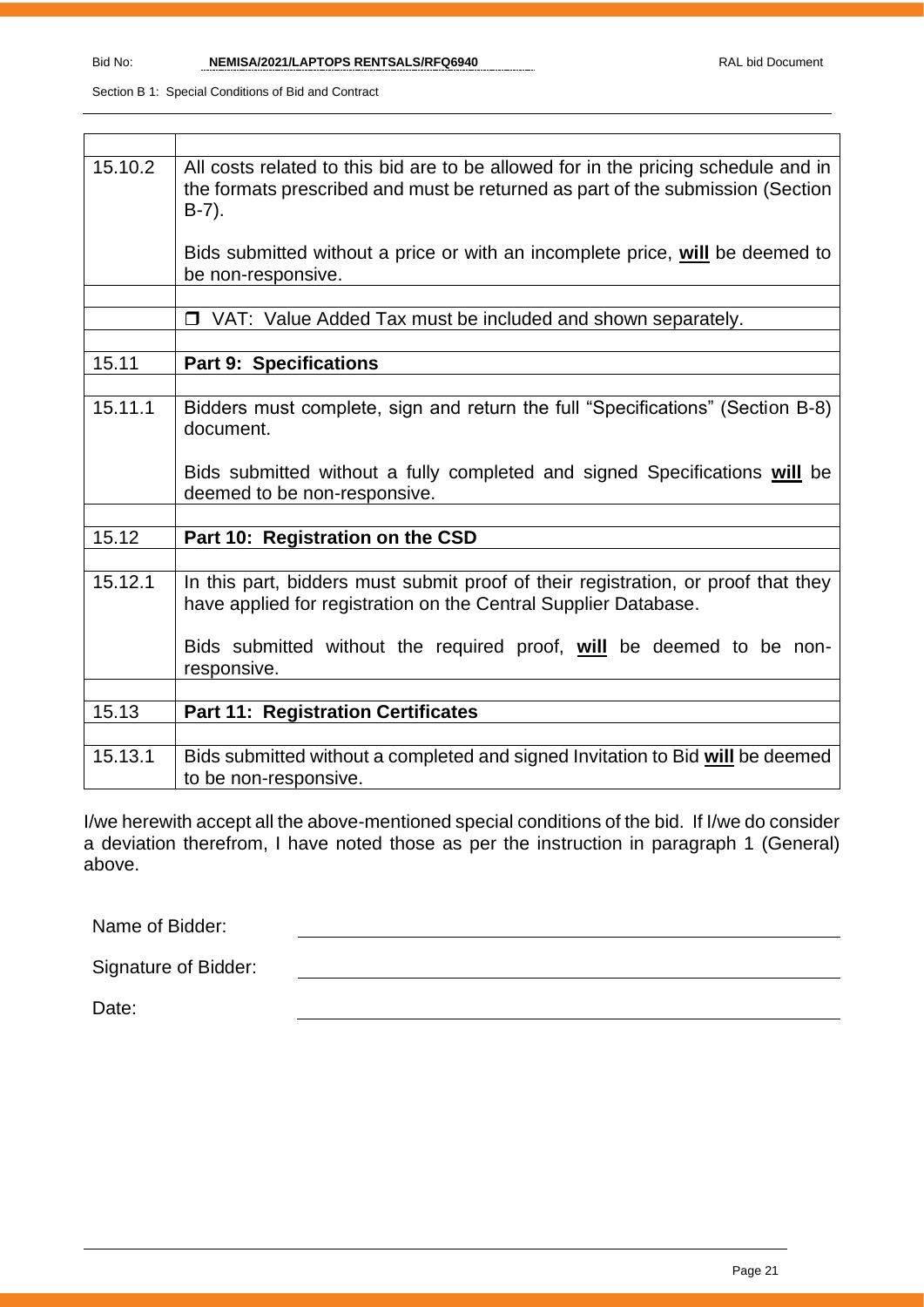| 15.10.2 | All costs related to this bid are to be allowed for in the pricing schedule and in<br>the formats prescribed and must be returned as part of the submission (Section<br>$B-7$ ). |
|---------|----------------------------------------------------------------------------------------------------------------------------------------------------------------------------------|
|         | Bids submitted without a price or with an incomplete price, will be deemed to<br>be non-responsive.                                                                              |
|         |                                                                                                                                                                                  |
|         | □ VAT: Value Added Tax must be included and shown separately.                                                                                                                    |
|         |                                                                                                                                                                                  |
| 15.11   | <b>Part 9: Specifications</b>                                                                                                                                                    |
|         |                                                                                                                                                                                  |
| 15.11.1 | Bidders must complete, sign and return the full "Specifications" (Section B-8)<br>document.                                                                                      |
|         | Bids submitted without a fully completed and signed Specifications will be<br>deemed to be non-responsive.                                                                       |
|         |                                                                                                                                                                                  |
| 15.12   | Part 10: Registration on the CSD                                                                                                                                                 |
|         |                                                                                                                                                                                  |
| 15.12.1 | In this part, bidders must submit proof of their registration, or proof that they<br>have applied for registration on the Central Supplier Database.                             |
|         | Bids submitted without the required proof, will be deemed to be non-<br>responsive.                                                                                              |
|         |                                                                                                                                                                                  |
| 15.13   | <b>Part 11: Registration Certificates</b>                                                                                                                                        |
|         |                                                                                                                                                                                  |
| 15.13.1 | Bids submitted without a completed and signed Invitation to Bid will be deemed<br>to be non-responsive.                                                                          |

I/we herewith accept all the above-mentioned special conditions of the bid. If I/we do consider a deviation therefrom, I have noted those as per the instruction in paragraph 1 (General) above.

Name of Bidder:

Signature of Bidder:

Date: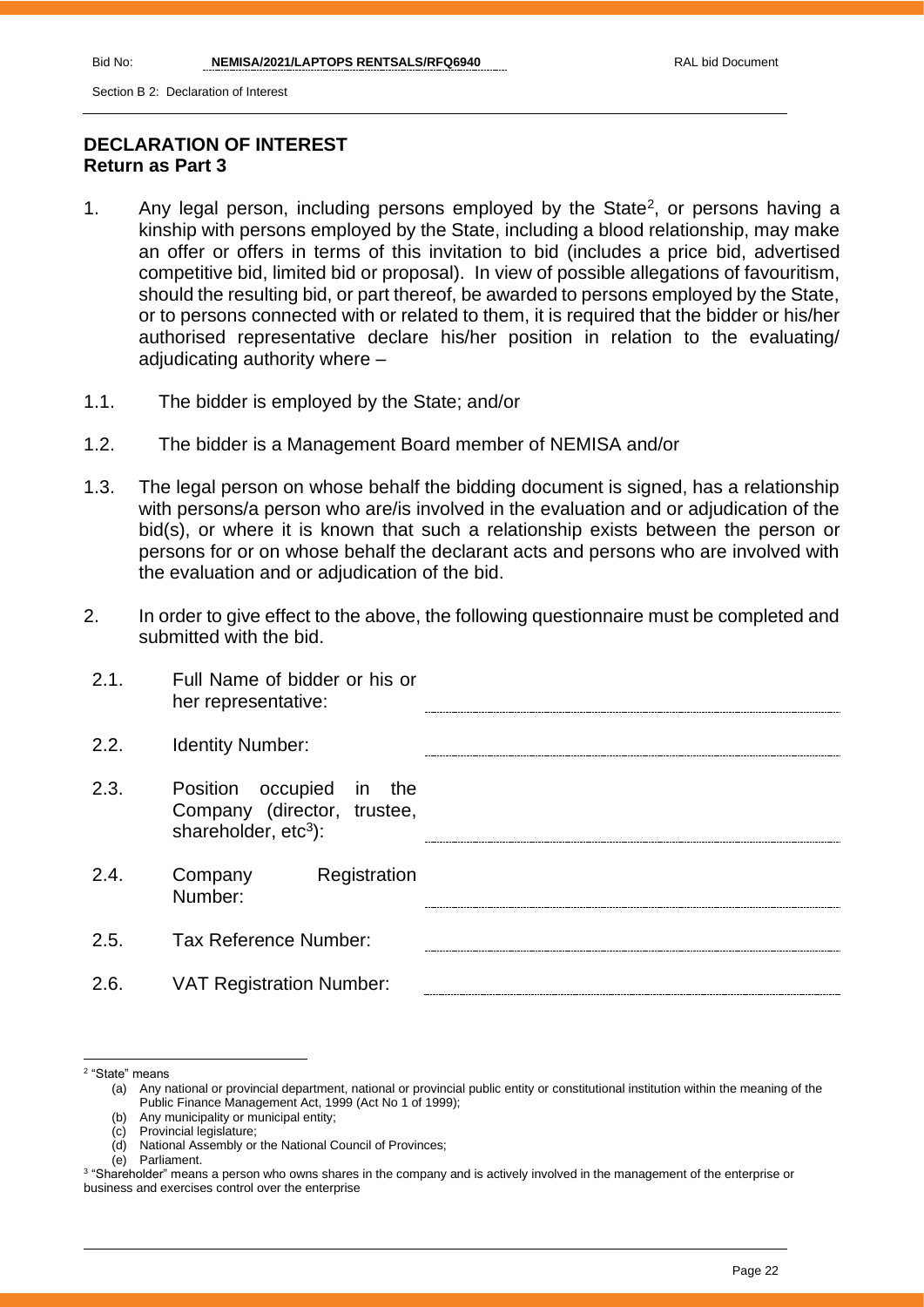Section B 2: Declaration of Interest

#### **DECLARATION OF INTEREST Return as Part 3**

- 1. Any legal person, including persons employed by the State<sup>2</sup>, or persons having a kinship with persons employed by the State, including a blood relationship, may make an offer or offers in terms of this invitation to bid (includes a price bid, advertised competitive bid, limited bid or proposal). In view of possible allegations of favouritism, should the resulting bid, or part thereof, be awarded to persons employed by the State, or to persons connected with or related to them, it is required that the bidder or his/her authorised representative declare his/her position in relation to the evaluating/ adjudicating authority where –
- 1.1. The bidder is employed by the State; and/or
- 1.2. The bidder is a Management Board member of NEMISA and/or
- 1.3. The legal person on whose behalf the bidding document is signed, has a relationship with persons/a person who are/is involved in the evaluation and or adjudication of the bid(s), or where it is known that such a relationship exists between the person or persons for or on whose behalf the declarant acts and persons who are involved with the evaluation and or adjudication of the bid.
- 2. In order to give effect to the above, the following questionnaire must be completed and submitted with the bid.
- 2.1. Full Name of bidder or his or her representative: 2.2. Identity Number: 2.3. Position occupied in the Company (director, trustee, shareholder, etc<sup>3</sup>): 2.4. Company Registration Number: 2.5. Tax Reference Number: 2.6. VAT Registration Number:
- 2 "State" means

<sup>(</sup>a) Any national or provincial department, national or provincial public entity or constitutional institution within the meaning of the Public Finance Management Act, 1999 (Act No 1 of 1999);

<sup>(</sup>b) Any municipality or municipal entity;

<sup>(</sup>c) Provincial legislature;

<sup>(</sup>d) National Assembly or the National Council of Provinces;

<sup>(</sup>e) Parliament.

<sup>3</sup> "Shareholder" means a person who owns shares in the company and is actively involved in the management of the enterprise or business and exercises control over the enterprise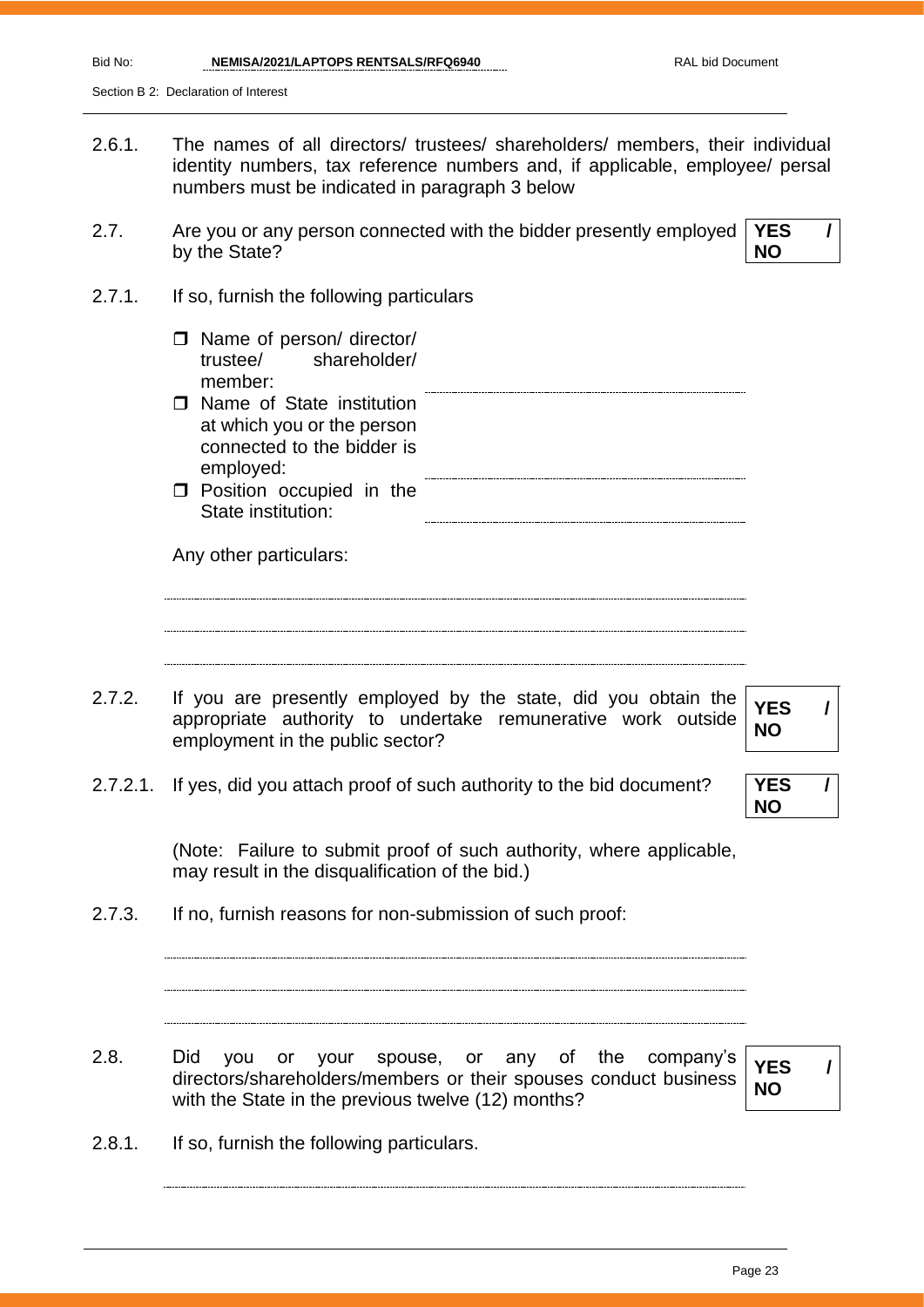| Bid No: | NEMISA/2021/LAPTOPS RENTSALS/RFQ6940 |
|---------|--------------------------------------|
|         |                                      |

Section B 2: Declaration of Interest

- 2.6.1. The names of all directors/ trustees/ shareholders/ members, their individual identity numbers, tax reference numbers and, if applicable, employee/ persal numbers must be indicated in paragraph 3 below
- 2.7. Are you or any person connected with the bidder presently employed by the State? **YES / NO**
- 2.7.1. If so, furnish the following particulars
	- $\Box$  Name of person/ director/ trustee/ shareholder/ member:
	- □ Name of State institution at which you or the person connected to the bidder is employed:
	- $\Box$  Position occupied in the State institution:

Any other particulars:

- 2.7.2. If you are presently employed by the state, did you obtain the appropriate authority to undertake remunerative work outside employment in the public sector?
- **YES / NO**
- 2.7.2.1. If yes, did you attach proof of such authority to the bid document? | **YES**

**NO**

(Note: Failure to submit proof of such authority, where applicable, may result in the disqualification of the bid.)

2.7.3. If no, furnish reasons for non-submission of such proof:

- 
- 2.8. Did you or your spouse, or any of the company's directors/shareholders/members or their spouses conduct business with the State in the previous twelve (12) months?



2.8.1. If so, furnish the following particulars.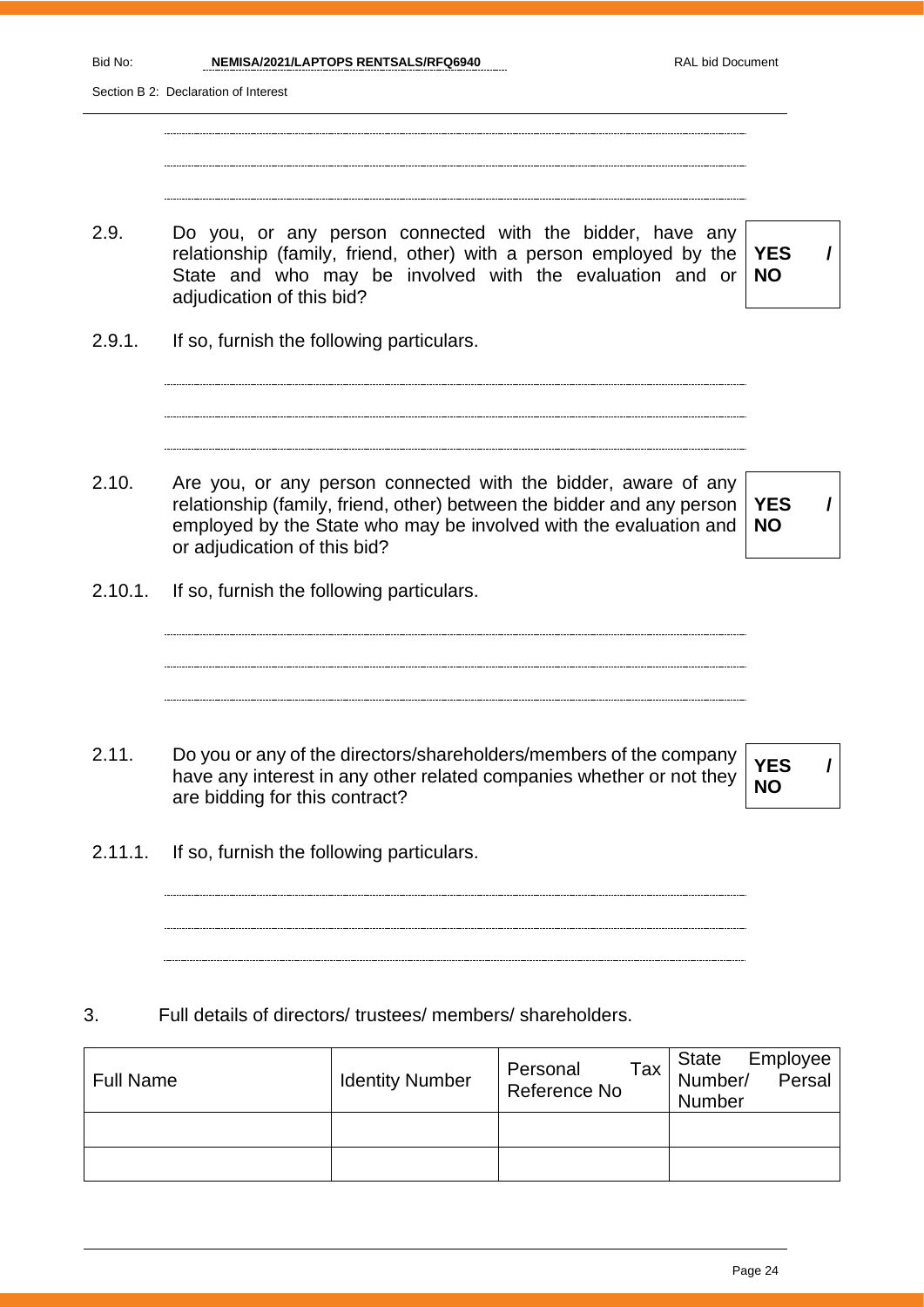Bid No: **NEMISA/2021/LAPTOPS RENTSALS/RFQ6940** RAL bid Document

Section B 2: Declaration of Interest

2.9. Do you, or any person connected with the bidder, have any relationship (family, friend, other) with a person employed by the State and who may be involved with the evaluation and or adjudication of this bid?

**YES / NO**

2.9.1. If so, furnish the following particulars.

2.10. Are you, or any person connected with the bidder, aware of any relationship (family, friend, other) between the bidder and any person employed by the State who may be involved with the evaluation and or adjudication of this bid?



2.10.1. If so, furnish the following particulars.

- 2.11. Do you or any of the directors/shareholders/members of the company have any interest in any other related companies whether or not they are bidding for this contract?
	- **YES / NO**

2.11.1. If so, furnish the following particulars.

#### 3. Full details of directors/ trustees/ members/ shareholders.

| Full Name | <b>Identity Number</b> | Personal<br>Reference No | State<br>Employee<br>/ Persal<br>$\begin{array}{c c}\n\text{Tax} & \text{Number/} \\ \end{array}$<br>Number |
|-----------|------------------------|--------------------------|-------------------------------------------------------------------------------------------------------------|
|           |                        |                          |                                                                                                             |
|           |                        |                          |                                                                                                             |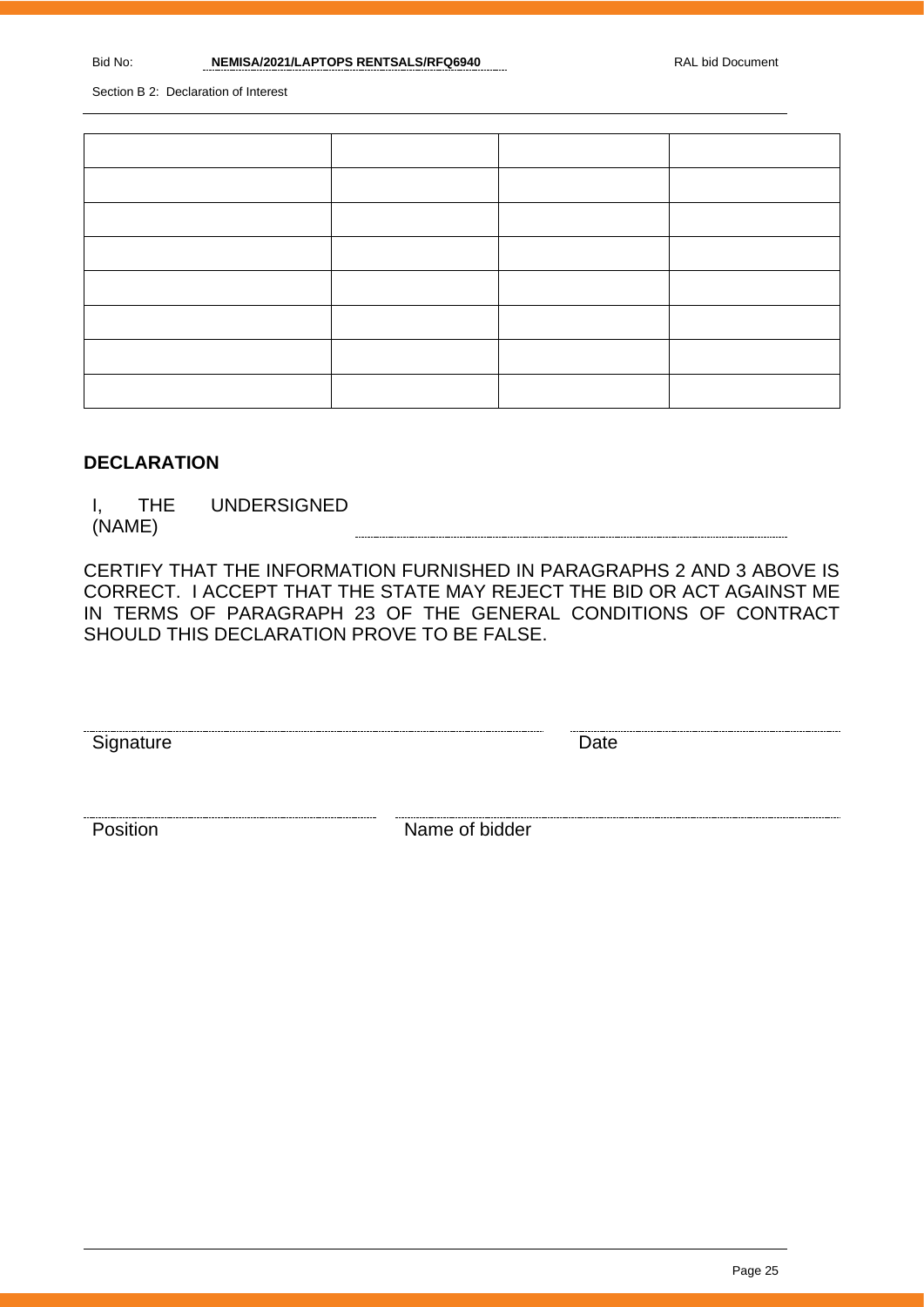Section B 2: Declaration of Interest

#### **DECLARATION**

I, THE UNDERSIGNED

(NAME)

CERTIFY THAT THE INFORMATION FURNISHED IN PARAGRAPHS 2 AND 3 ABOVE IS CORRECT. I ACCEPT THAT THE STATE MAY REJECT THE BID OR ACT AGAINST ME IN TERMS OF PARAGRAPH 23 OF THE GENERAL CONDITIONS OF CONTRACT SHOULD THIS DECLARATION PROVE TO BE FALSE.

Signature Date **Date** 

Position Name of bidder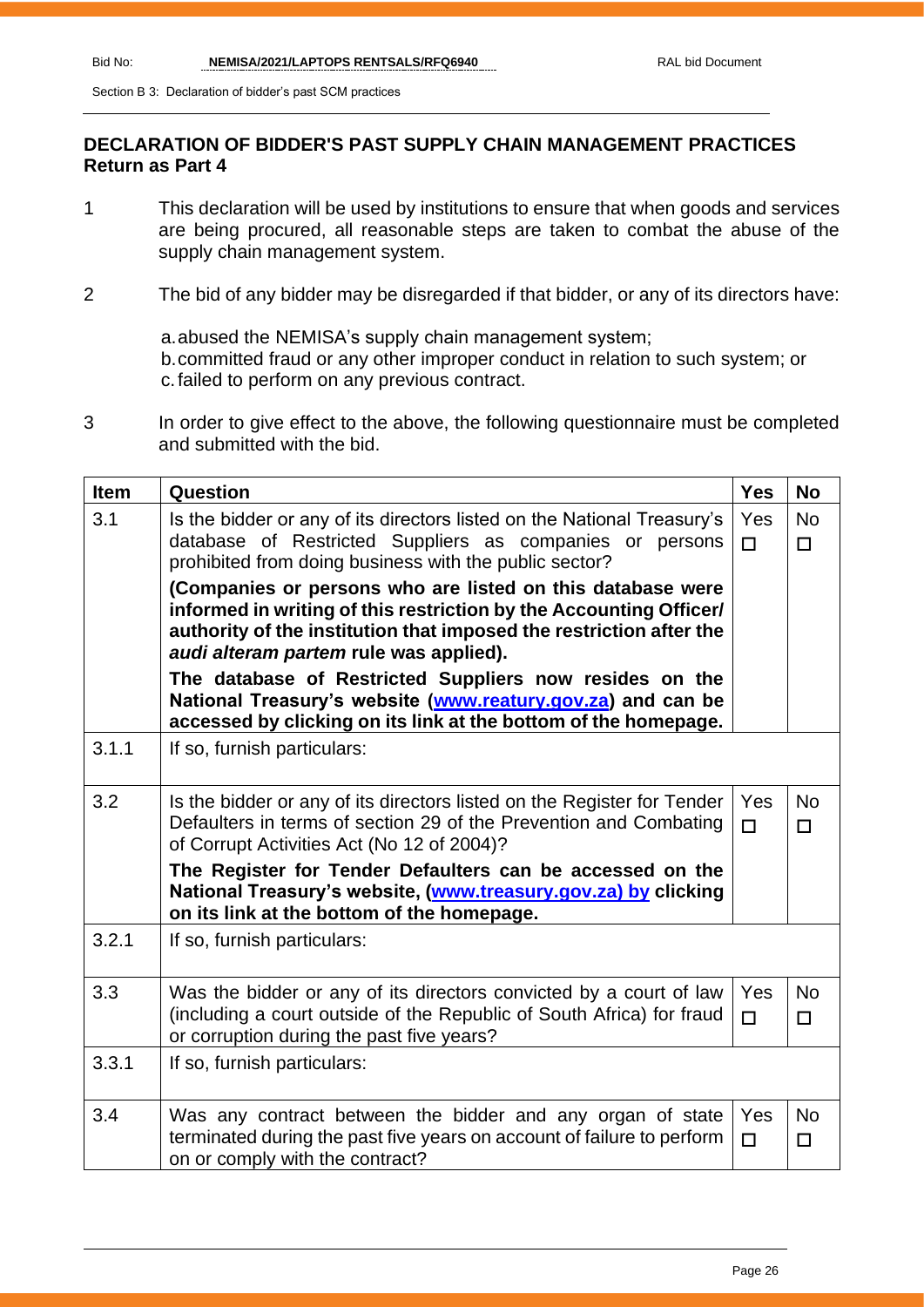Section B 3: Declaration of bidder's past SCM practices

#### **DECLARATION OF BIDDER'S PAST SUPPLY CHAIN MANAGEMENT PRACTICES Return as Part 4**

- 1 This declaration will be used by institutions to ensure that when goods and services are being procured, all reasonable steps are taken to combat the abuse of the supply chain management system.
- 2 The bid of any bidder may be disregarded if that bidder, or any of its directors have:

a.abused the NEMISA's supply chain management system; b.committed fraud or any other improper conduct in relation to such system; or c.failed to perform on any previous contract.

3 In order to give effect to the above, the following questionnaire must be completed and submitted with the bid.

| <b>Item</b> | Question                                                                                                                                                                                                                                          | <b>Yes</b>           | <b>No</b>           |
|-------------|---------------------------------------------------------------------------------------------------------------------------------------------------------------------------------------------------------------------------------------------------|----------------------|---------------------|
| 3.1         | Is the bidder or any of its directors listed on the National Treasury's<br>database of Restricted Suppliers as companies or persons<br>prohibited from doing business with the public sector?                                                     | <b>Yes</b><br>$\Box$ | <b>No</b><br>$\Box$ |
|             | (Companies or persons who are listed on this database were<br>informed in writing of this restriction by the Accounting Officer/<br>authority of the institution that imposed the restriction after the<br>audi alteram partem rule was applied). |                      |                     |
|             | The database of Restricted Suppliers now resides on the<br>National Treasury's website (www.reatury.gov.za) and can be<br>accessed by clicking on its link at the bottom of the homepage.                                                         |                      |                     |
| 3.1.1       | If so, furnish particulars:                                                                                                                                                                                                                       |                      |                     |
| 3.2         | Is the bidder or any of its directors listed on the Register for Tender<br>Defaulters in terms of section 29 of the Prevention and Combating<br>of Corrupt Activities Act (No 12 of 2004)?                                                        | <b>Yes</b><br>$\Box$ | <b>No</b><br>$\Box$ |
|             | The Register for Tender Defaulters can be accessed on the<br>National Treasury's website, (www.treasury.gov.za) by clicking<br>on its link at the bottom of the homepage.                                                                         |                      |                     |
| 3.2.1       | If so, furnish particulars:                                                                                                                                                                                                                       |                      |                     |
| 3.3         | Was the bidder or any of its directors convicted by a court of law<br>(including a court outside of the Republic of South Africa) for fraud<br>or corruption during the past five years?                                                          | Yes<br>$\Box$        | <b>No</b><br>$\Box$ |
| 3.3.1       | If so, furnish particulars:                                                                                                                                                                                                                       |                      |                     |
| 3.4         | Was any contract between the bidder and any organ of state<br>terminated during the past five years on account of failure to perform<br>on or comply with the contract?                                                                           | Yes<br>$\Box$        | <b>No</b><br>$\Box$ |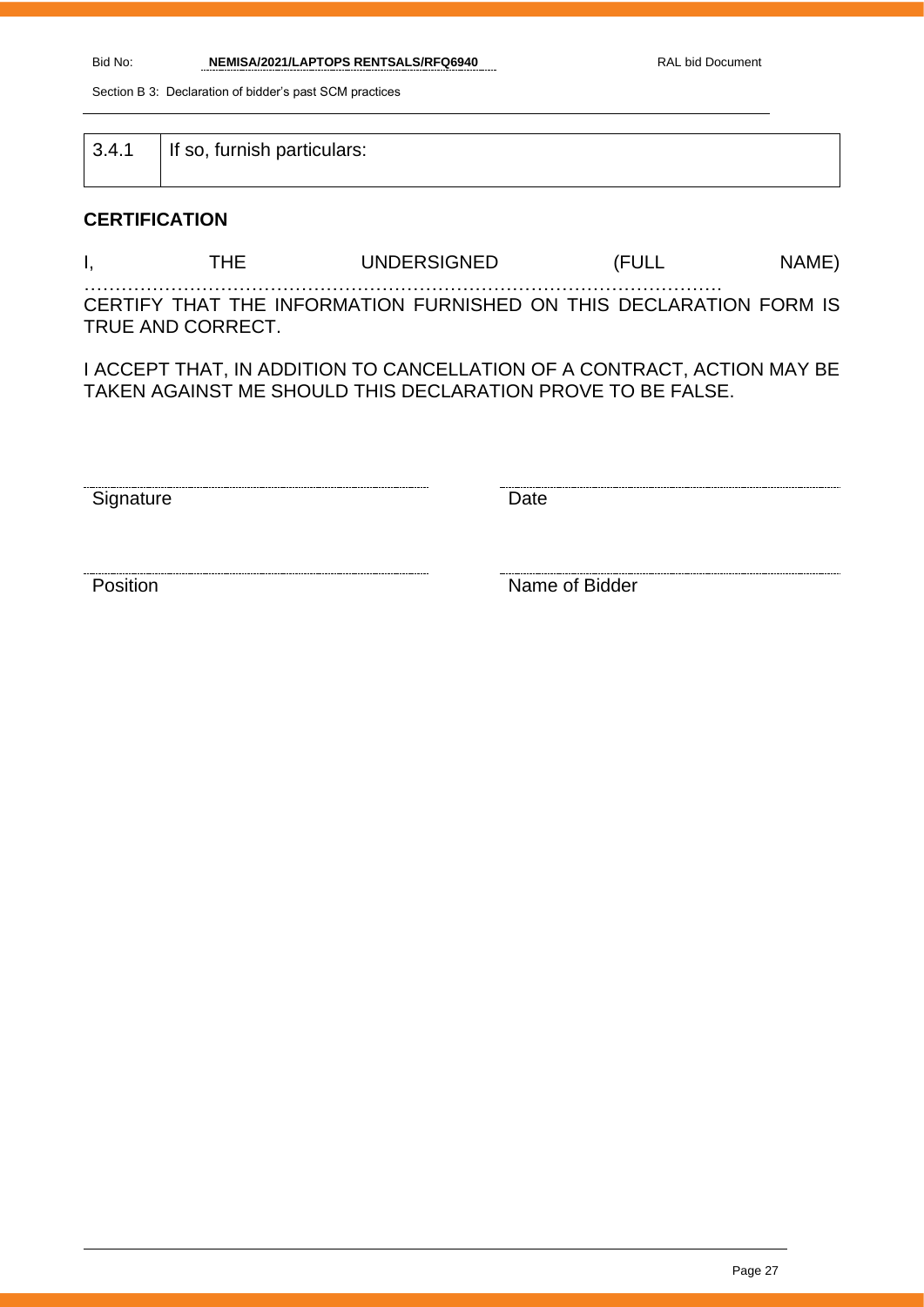Bid No: **NEMISA/2021/LAPTOPS RENTSALS/RFQ6940** RAL bid Document

Section B 3: Declaration of bidder's past SCM practices

| 3.4.1 | If so, furnish particulars: |
|-------|-----------------------------|
|       |                             |

#### **CERTIFICATION**

| Ι,                | THE. | UNDERSIGNED | (FULL                                                              | NAME) |
|-------------------|------|-------------|--------------------------------------------------------------------|-------|
| TRUE AND CORRECT. |      |             | CERTIFY THAT THE INFORMATION FURNISHED ON THIS DECLARATION FORM IS |       |

I ACCEPT THAT, IN ADDITION TO CANCELLATION OF A CONTRACT, ACTION MAY BE TAKEN AGAINST ME SHOULD THIS DECLARATION PROVE TO BE FALSE.

Signature Date

**Position** Name of Bidder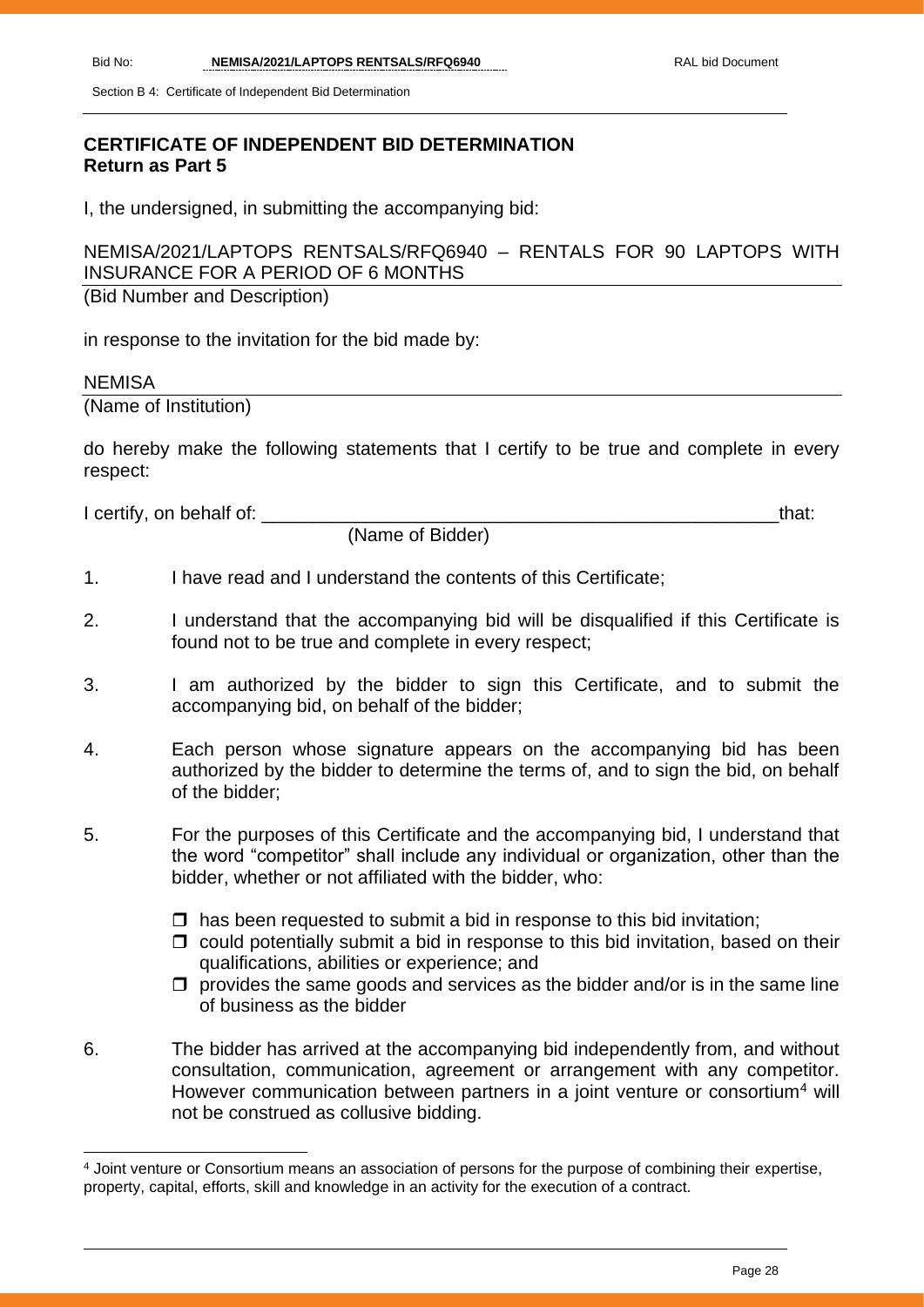Section B 4: Certificate of Independent Bid Determination

#### **CERTIFICATE OF INDEPENDENT BID DETERMINATION Return as Part 5**

I, the undersigned, in submitting the accompanying bid:

NEMISA/2021/LAPTOPS RENTSALS/RFQ6940 – RENTALS FOR 90 LAPTOPS WITH INSURANCE FOR A PERIOD OF 6 MONTHS

(Bid Number and Description)

in response to the invitation for the bid made by:

#### **NEMISA**

(Name of Institution)

do hereby make the following statements that I certify to be true and complete in every respect:

I certify, on behalf of: \_\_\_\_\_\_\_\_\_\_\_\_\_\_\_\_\_\_\_\_\_\_\_\_\_\_\_\_\_\_\_\_\_\_\_\_\_\_\_\_\_\_\_\_\_\_\_\_\_\_that:

(Name of Bidder)

- 1. I have read and I understand the contents of this Certificate;
- 2. I understand that the accompanying bid will be disqualified if this Certificate is found not to be true and complete in every respect;
- 3. I am authorized by the bidder to sign this Certificate, and to submit the accompanying bid, on behalf of the bidder;
- 4. Each person whose signature appears on the accompanying bid has been authorized by the bidder to determine the terms of, and to sign the bid, on behalf of the bidder;
- 5. For the purposes of this Certificate and the accompanying bid, I understand that the word "competitor" shall include any individual or organization, other than the bidder, whether or not affiliated with the bidder, who:
	- $\Box$  has been requested to submit a bid in response to this bid invitation;
	- $\Box$  could potentially submit a bid in response to this bid invitation, based on their qualifications, abilities or experience; and
	- $\Box$  provides the same goods and services as the bidder and/or is in the same line of business as the bidder
- 6. The bidder has arrived at the accompanying bid independently from, and without consultation, communication, agreement or arrangement with any competitor. However communication between partners in a joint venture or consortium<sup>4</sup> will not be construed as collusive bidding.

<sup>4</sup> Joint venture or Consortium means an association of persons for the purpose of combining their expertise, property, capital, efforts, skill and knowledge in an activity for the execution of a contract.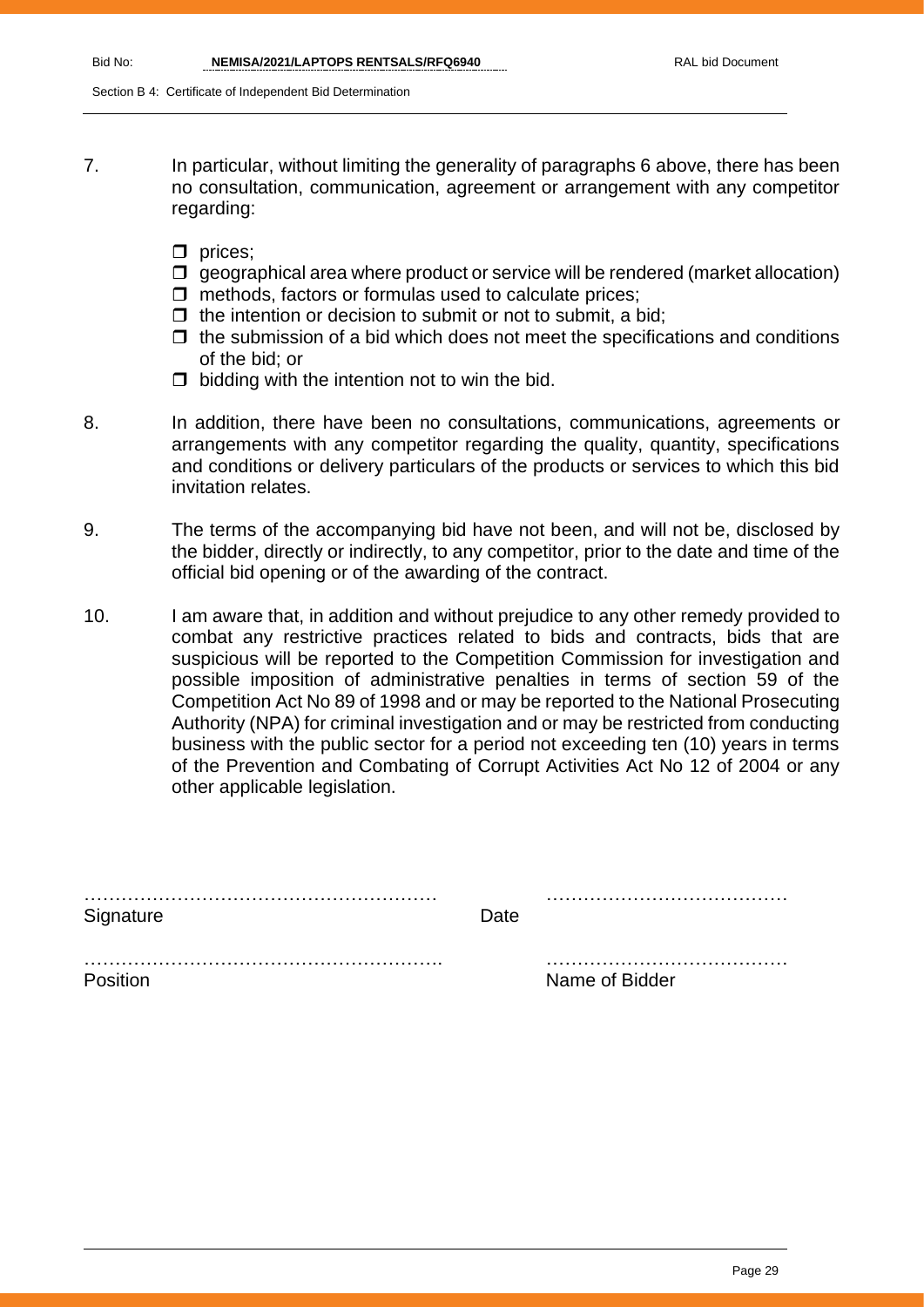Section B 4: Certificate of Independent Bid Determination

- 7. In particular, without limiting the generality of paragraphs 6 above, there has been no consultation, communication, agreement or arrangement with any competitor regarding:
	- $\square$  prices:
	- $\Box$  geographical area where product or service will be rendered (market allocation)
	- $\Box$  methods, factors or formulas used to calculate prices;
	- $\Box$  the intention or decision to submit or not to submit, a bid;
	- $\Box$  the submission of a bid which does not meet the specifications and conditions of the bid; or
	- $\Box$  bidding with the intention not to win the bid.
- 8. In addition, there have been no consultations, communications, agreements or arrangements with any competitor regarding the quality, quantity, specifications and conditions or delivery particulars of the products or services to which this bid invitation relates.
- 9. The terms of the accompanying bid have not been, and will not be, disclosed by the bidder, directly or indirectly, to any competitor, prior to the date and time of the official bid opening or of the awarding of the contract.
- 10. I am aware that, in addition and without prejudice to any other remedy provided to combat any restrictive practices related to bids and contracts, bids that are suspicious will be reported to the Competition Commission for investigation and possible imposition of administrative penalties in terms of section 59 of the Competition Act No 89 of 1998 and or may be reported to the National Prosecuting Authority (NPA) for criminal investigation and or may be restricted from conducting business with the public sector for a period not exceeding ten (10) years in terms of the Prevention and Combating of Corrupt Activities Act No 12 of 2004 or any other applicable legislation.

| Signature       | Date |                |
|-----------------|------|----------------|
| <b>Position</b> |      | Name of Bidder |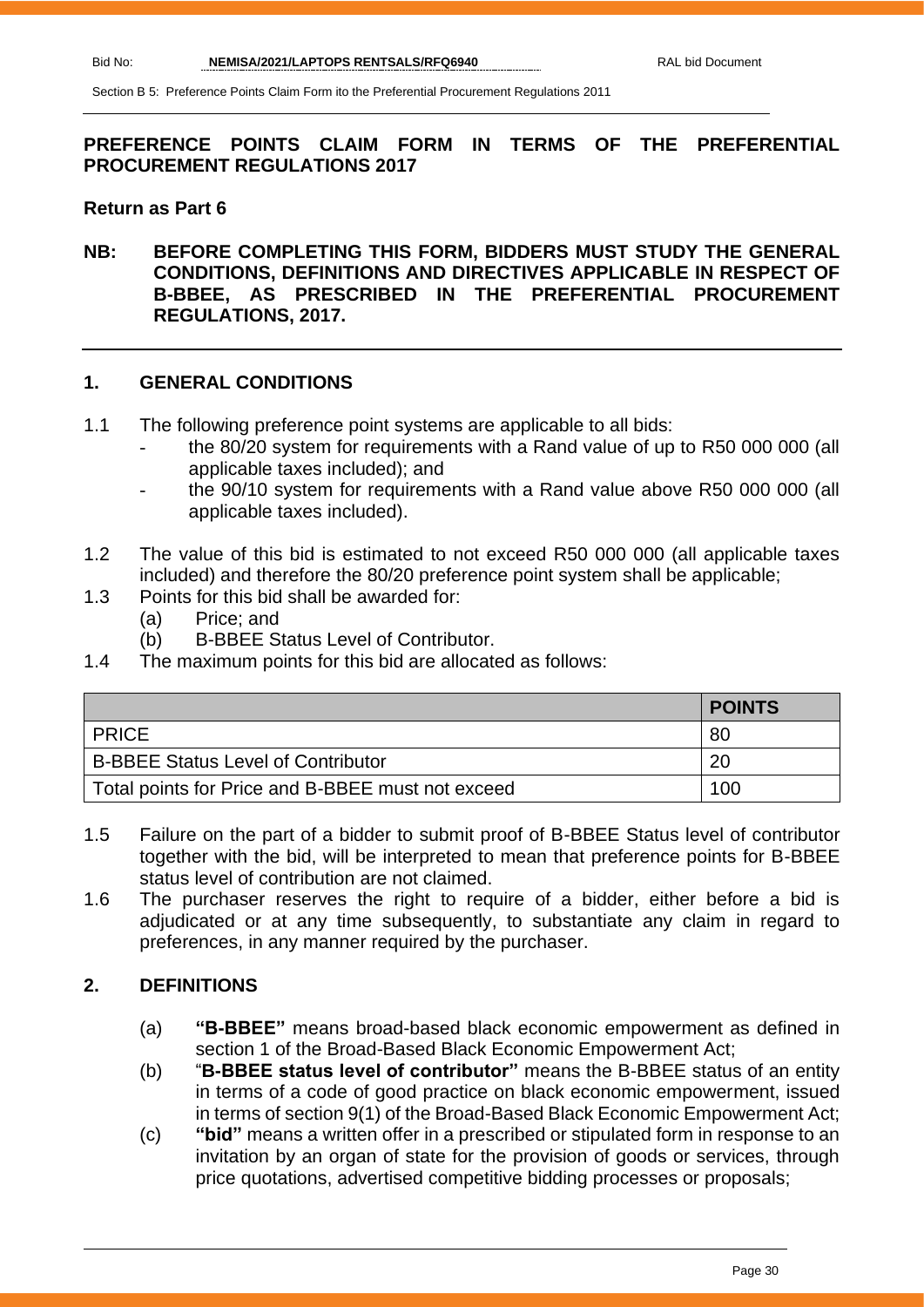#### **PREFERENCE POINTS CLAIM FORM IN TERMS OF THE PREFERENTIAL PROCUREMENT REGULATIONS 2017**

#### **Return as Part 6**

**NB: BEFORE COMPLETING THIS FORM, BIDDERS MUST STUDY THE GENERAL CONDITIONS, DEFINITIONS AND DIRECTIVES APPLICABLE IN RESPECT OF B-BBEE, AS PRESCRIBED IN THE PREFERENTIAL PROCUREMENT REGULATIONS, 2017.** 

#### **1. GENERAL CONDITIONS**

- 1.1 The following preference point systems are applicable to all bids:
	- the 80/20 system for requirements with a Rand value of up to R50 000 000 (all applicable taxes included); and
	- the 90/10 system for requirements with a Rand value above R50 000 000 (all applicable taxes included).
- 1.2 The value of this bid is estimated to not exceed R50 000 000 (all applicable taxes included) and therefore the 80/20 preference point system shall be applicable;
- 1.3 Points for this bid shall be awarded for:
	- (a) Price; and
	- (b) B-BBEE Status Level of Contributor.
- 1.4 The maximum points for this bid are allocated as follows:

|                                                   | <b>POINTS</b> |
|---------------------------------------------------|---------------|
| <b>PRICE</b>                                      | 80            |
| <b>B-BBEE Status Level of Contributor</b>         | 20            |
| Total points for Price and B-BBEE must not exceed | 100           |

- 1.5 Failure on the part of a bidder to submit proof of B-BBEE Status level of contributor together with the bid, will be interpreted to mean that preference points for B-BBEE status level of contribution are not claimed.
- 1.6 The purchaser reserves the right to require of a bidder, either before a bid is adjudicated or at any time subsequently, to substantiate any claim in regard to preferences, in any manner required by the purchaser.

#### **2. DEFINITIONS**

- (a) **"B-BBEE"** means broad-based black economic empowerment as defined in section 1 of the Broad-Based Black Economic Empowerment Act;
- (b) "**B-BBEE status level of contributor"** means the B-BBEE status of an entity in terms of a code of good practice on black economic empowerment, issued in terms of section 9(1) of the Broad-Based Black Economic Empowerment Act;
- (c) **"bid"** means a written offer in a prescribed or stipulated form in response to an invitation by an organ of state for the provision of goods or services, through price quotations, advertised competitive bidding processes or proposals;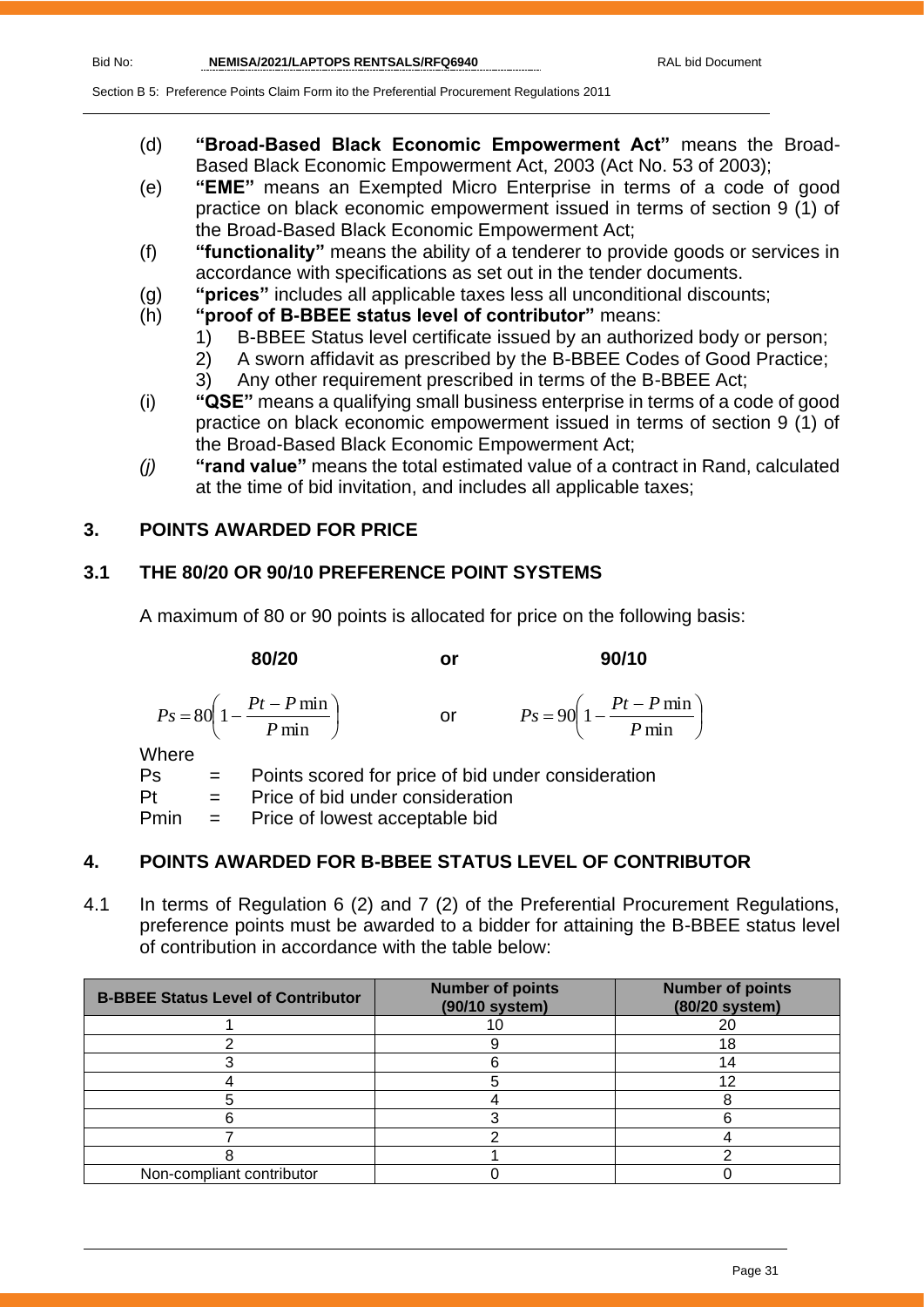- (d) **"Broad-Based Black Economic Empowerment Act"** means the Broad-Based Black Economic Empowerment Act, 2003 (Act No. 53 of 2003);
- (e) **"EME"** means an Exempted Micro Enterprise in terms of a code of good practice on black economic empowerment issued in terms of section 9 (1) of the Broad-Based Black Economic Empowerment Act;
- (f) **"functionality"** means the ability of a tenderer to provide goods or services in accordance with specifications as set out in the tender documents.
- (g) **"prices"** includes all applicable taxes less all unconditional discounts;
- (h) **"proof of B-BBEE status level of contributor"** means:
	- 1) B-BBEE Status level certificate issued by an authorized body or person;
	- 2) A sworn affidavit as prescribed by the B-BBEE Codes of Good Practice;
		- 3) Any other requirement prescribed in terms of the B-BBEE Act;
- (i) **"QSE"** means a qualifying small business enterprise in terms of a code of good practice on black economic empowerment issued in terms of section 9 (1) of the Broad-Based Black Economic Empowerment Act;
- *(j)* **"rand value"** means the total estimated value of a contract in Rand, calculated at the time of bid invitation, and includes all applicable taxes;

#### **3. POINTS AWARDED FOR PRICE**

#### **3.1 THE 80/20 OR 90/10 PREFERENCE POINT SYSTEMS**

A maximum of 80 or 90 points is allocated for price on the following basis:

#### **80/20 or 90/10**

J

 $\overline{\phantom{a}}$ J  $\left(1-\frac{Pt-P\min}{P}\right)$  $\setminus$  $=80\left(1-\frac{Pt-}{\right)$ min  $80\left(1-\frac{Pt-P\min}{\sum_{i=1}^{n}H_i}\right)$ *P*  $P_s = 80 \left( 1 - \frac{Pt - P}{r} \right)$ or  $Ps = 90 \left| 1 - \frac{I l}{R} \right|$  $\left(1-\frac{Pt-P\min}{P}\right)$  $\setminus$  $= 90 \left( 1 - \frac{Pt - }{F} \right)$ min  $90\left(1-\frac{Pt-P\min}{\sum_{i=1}^{n}H_i}\right)$ *P*  $P_s = 90 \left( 1 - \frac{Pt - P}{r} \right)$ 

**Where** 

Ps = Points scored for price of bid under consideration  $Pt =$  Price of bid under consideration Pmin = Price of lowest acceptable bid

#### **4. POINTS AWARDED FOR B-BBEE STATUS LEVEL OF CONTRIBUTOR**

4.1 In terms of Regulation 6 (2) and 7 (2) of the Preferential Procurement Regulations, preference points must be awarded to a bidder for attaining the B-BBEE status level of contribution in accordance with the table below:

| <b>B-BBEE Status Level of Contributor</b> | <b>Number of points</b><br>(90/10 system) | <b>Number of points</b><br>(80/20 system) |
|-------------------------------------------|-------------------------------------------|-------------------------------------------|
|                                           |                                           |                                           |
|                                           |                                           | 18                                        |
|                                           |                                           |                                           |
|                                           |                                           | 1 ຕ                                       |
|                                           |                                           |                                           |
|                                           |                                           |                                           |
|                                           |                                           |                                           |
|                                           |                                           |                                           |
| Non-compliant contributor                 |                                           |                                           |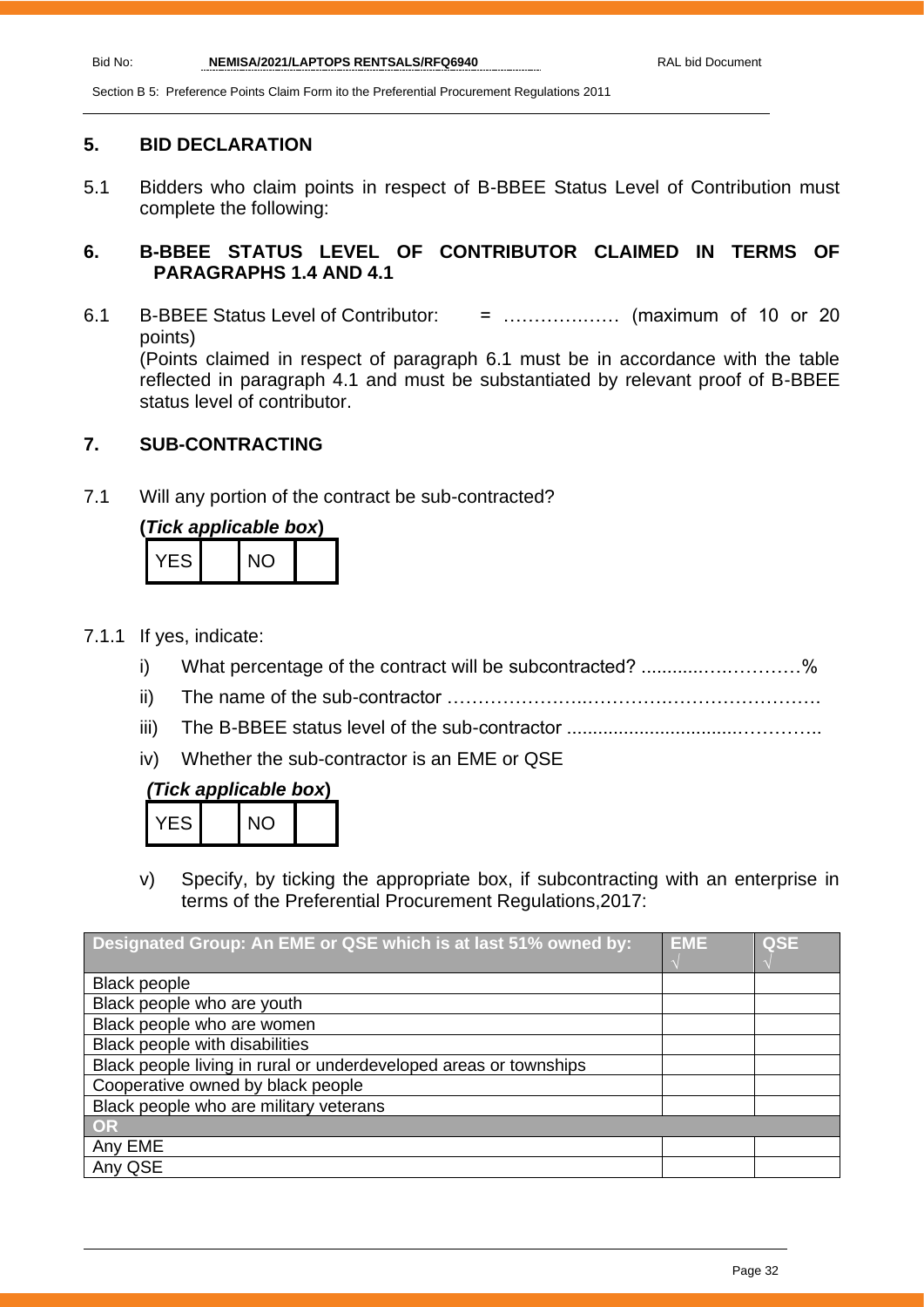#### **5. BID DECLARATION**

5.1 Bidders who claim points in respect of B-BBEE Status Level of Contribution must complete the following:

#### **6. B-BBEE STATUS LEVEL OF CONTRIBUTOR CLAIMED IN TERMS OF PARAGRAPHS 1.4 AND 4.1**

6.1 B-BBEE Status Level of Contributor: = ………….…… (maximum of 10 or 20 points) (Points claimed in respect of paragraph 6.1 must be in accordance with the table reflected in paragraph 4.1 and must be substantiated by relevant proof of B-BBEE status level of contributor.

#### **7. SUB-CONTRACTING**

7.1 Will any portion of the contract be sub-contracted?

#### **(***Tick applicable box***)**

|--|--|--|

- 7.1.1 If yes, indicate:
	- i) What percentage of the contract will be subcontracted? ..........................%
	- ii) The name of the sub-contractor …………………..………….…………………….
	- iii) The B-BBEE status level of the sub-contractor .................................…………..
	- iv) Whether the sub-contractor is an EME or QSE

#### *(Tick applicable box***)**

| -5 |
|----|
|----|

v) Specify, by ticking the appropriate box, if subcontracting with an enterprise in terms of the Preferential Procurement Regulations,2017:

| Designated Group: An EME or QSE which is at last 51% owned by:    | <b>EME</b> | <b>QSE</b> |
|-------------------------------------------------------------------|------------|------------|
| <b>Black people</b>                                               |            |            |
| Black people who are youth                                        |            |            |
| Black people who are women                                        |            |            |
| <b>Black people with disabilities</b>                             |            |            |
| Black people living in rural or underdeveloped areas or townships |            |            |
| Cooperative owned by black people                                 |            |            |
| Black people who are military veterans                            |            |            |
| OR                                                                |            |            |
| Any EME                                                           |            |            |
| Any QSE                                                           |            |            |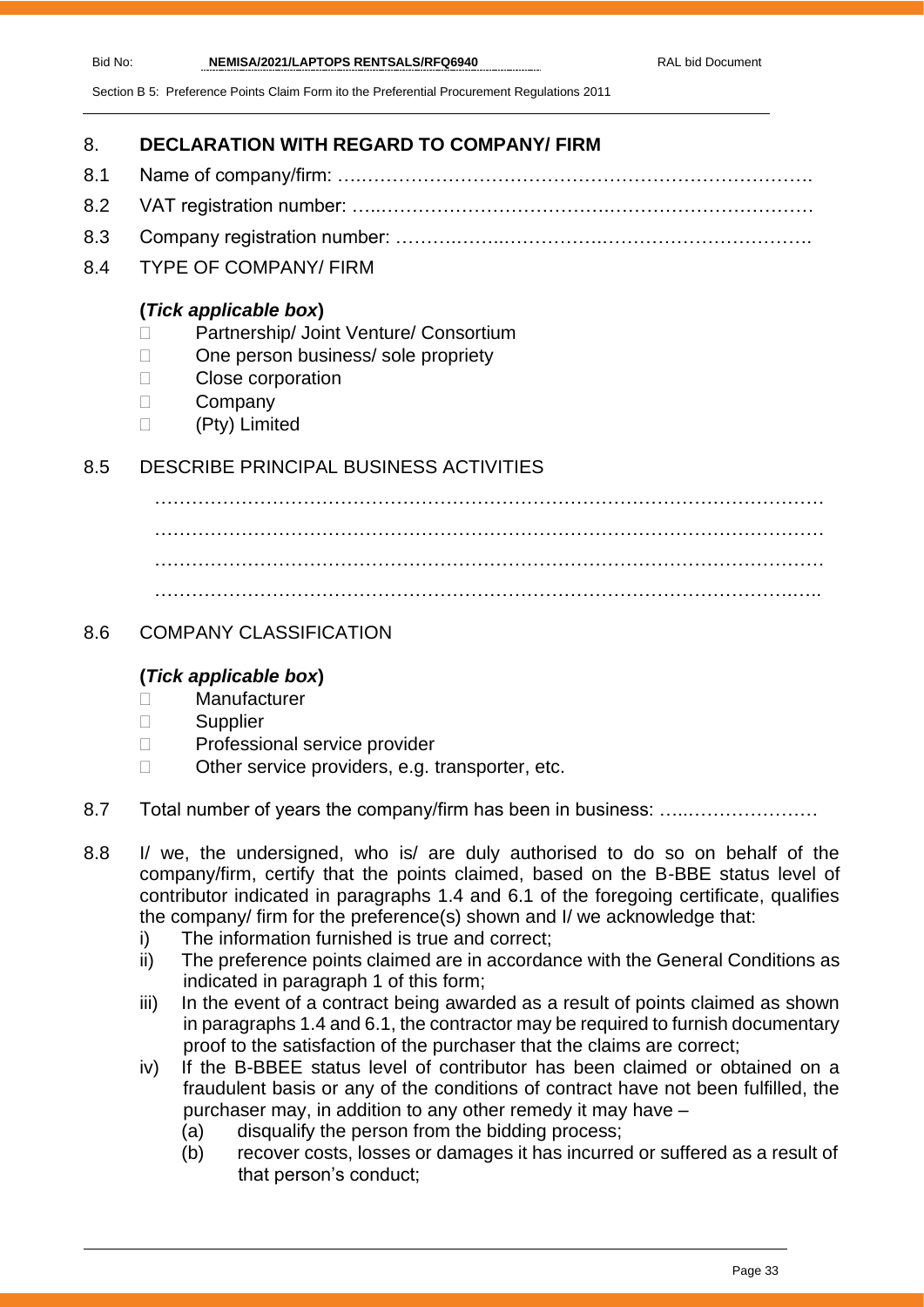### 8. **DECLARATION WITH REGARD TO COMPANY/ FIRM**

- 8.1 Name of company/firm: ….……………………………………………………………….
- 8.2 VAT registration number: …..……………………………….……………………………
- 8.3 Company registration number: ……….……..…………….…………………………….
- 8.4 TYPE OF COMPANY/ FIRM

#### **(***Tick applicable box***)**

- □ Partnership/ Joint Venture/ Consortium
- □ One person business/ sole propriety
- D Close corporation
- D Company
- (Pty) Limited

#### 8.5 DESCRIBE PRINCIPAL BUSINESS ACTIVITIES

……………………………………………………………………………………………… ……………………………………………………………………………………………… ……………………………………………………………………………………………… ………………………………………………………………………………………….…..

#### 8.6 COMPANY CLASSIFICATION

#### **(***Tick applicable box***)**

- Manufacturer
- Supplier
- D Professional service provider
- $\Box$  Other service providers, e.g. transporter, etc.
- 8.7 Total number of years the company/firm has been in business: …..…………………
- 8.8 I/ we, the undersigned, who is/ are duly authorised to do so on behalf of the company/firm, certify that the points claimed, based on the B-BBE status level of contributor indicated in paragraphs 1.4 and 6.1 of the foregoing certificate, qualifies the company/ firm for the preference(s) shown and I/ we acknowledge that:
	- i) The information furnished is true and correct;
	- ii) The preference points claimed are in accordance with the General Conditions as indicated in paragraph 1 of this form;
	- iii) In the event of a contract being awarded as a result of points claimed as shown in paragraphs 1.4 and 6.1, the contractor may be required to furnish documentary proof to the satisfaction of the purchaser that the claims are correct;
	- iv) If the B-BBEE status level of contributor has been claimed or obtained on a fraudulent basis or any of the conditions of contract have not been fulfilled, the purchaser may, in addition to any other remedy it may have –
		- (a) disqualify the person from the bidding process;
		- (b) recover costs, losses or damages it has incurred or suffered as a result of that person's conduct;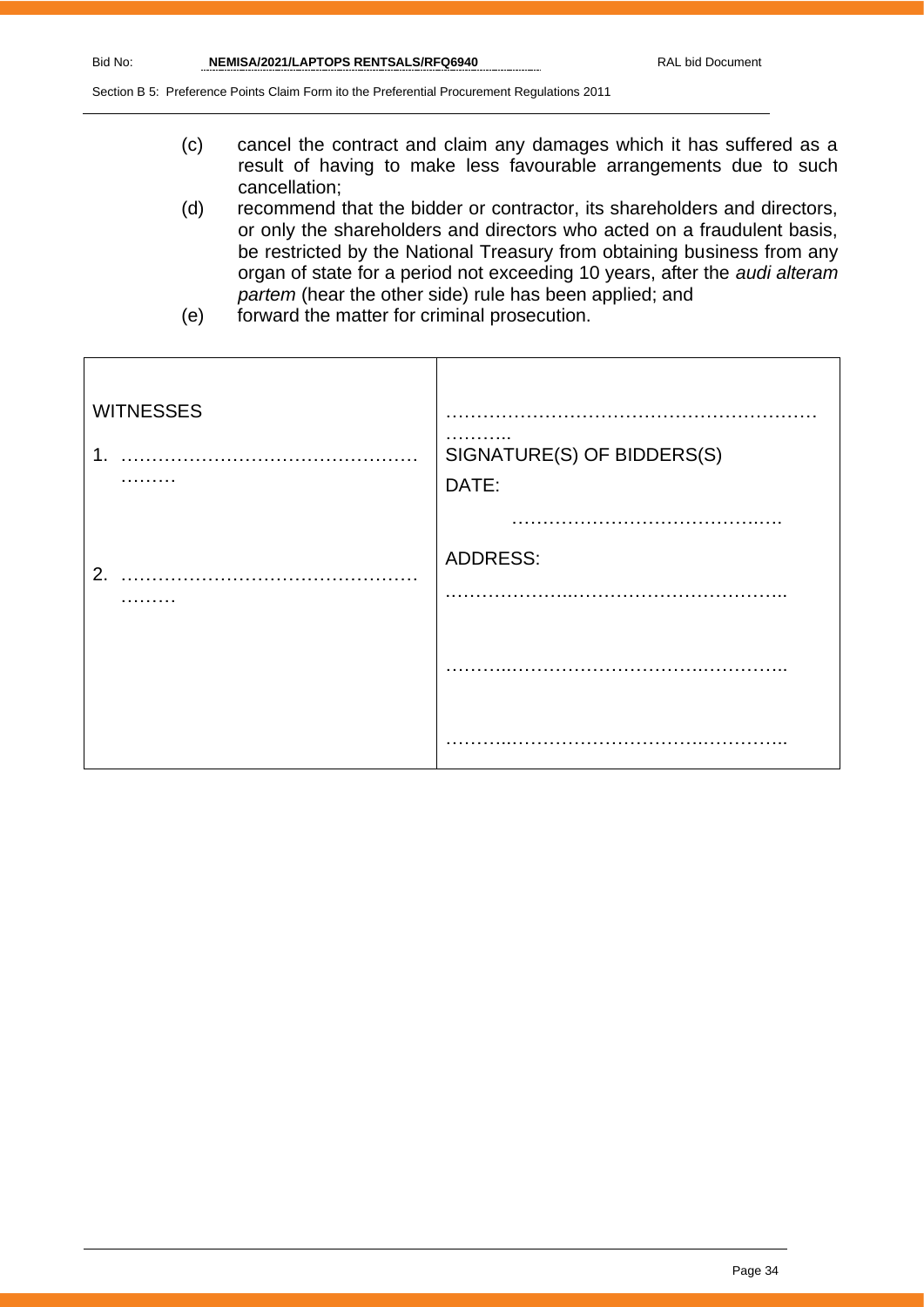- (c) cancel the contract and claim any damages which it has suffered as a result of having to make less favourable arrangements due to such cancellation;
- (d) recommend that the bidder or contractor, its shareholders and directors, or only the shareholders and directors who acted on a fraudulent basis, be restricted by the National Treasury from obtaining business from any organ of state for a period not exceeding 10 years, after the *audi alteram partem* (hear the other side) rule has been applied; and
- (e) forward the matter for criminal prosecution.

| <b>WITNESSES</b> |                                 |
|------------------|---------------------------------|
| $\mathbf 1$ .    | .<br>SIGNATURE(S) OF BIDDERS(S) |
| .                | DATE:                           |
|                  |                                 |
| 2.               | <b>ADDRESS:</b>                 |
|                  |                                 |
|                  |                                 |
|                  |                                 |
|                  |                                 |
|                  |                                 |
|                  |                                 |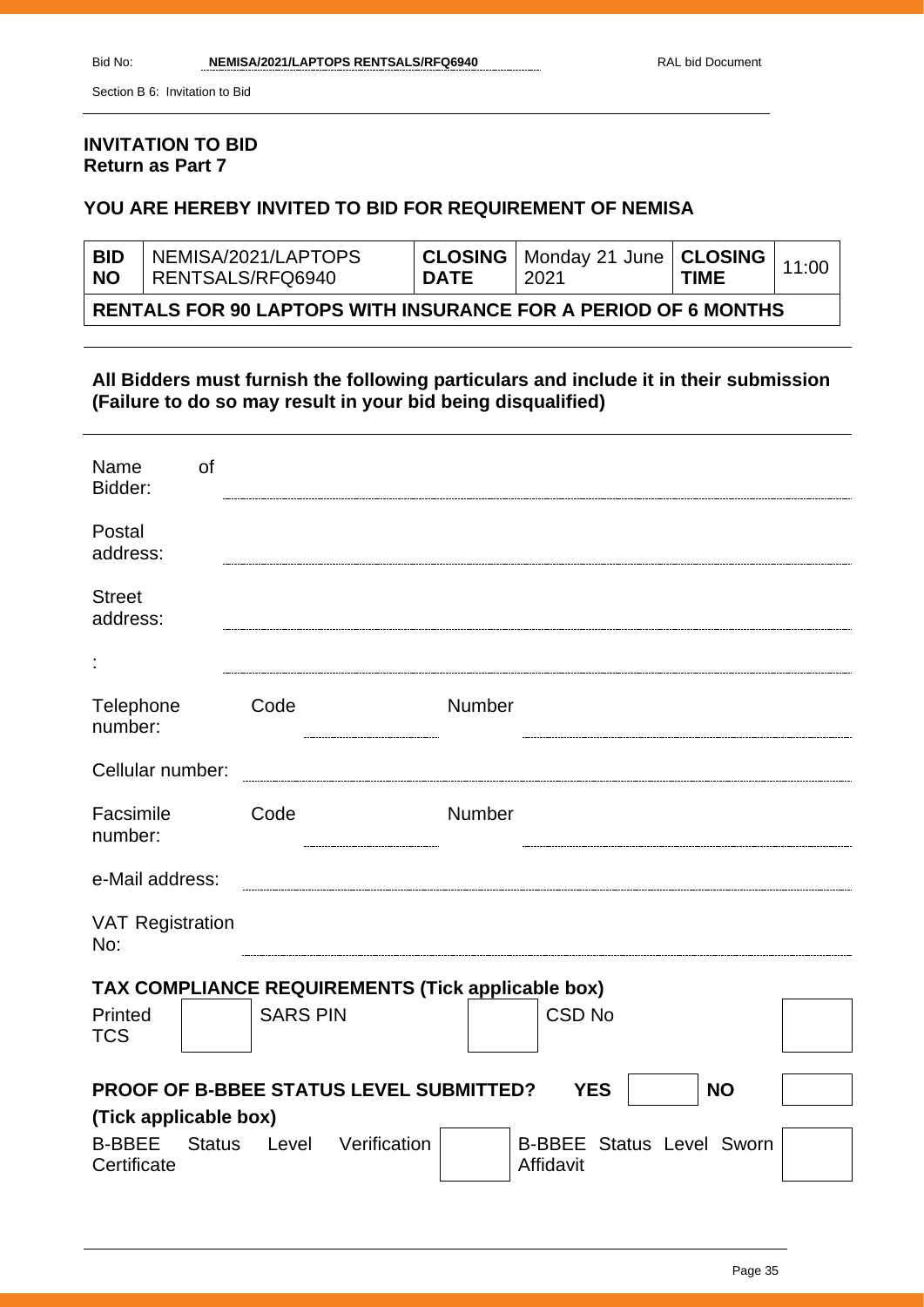Section B 6: Invitation to Bid

#### **INVITATION TO BID Return as Part 7**

#### **YOU ARE HEREBY INVITED TO BID FOR REQUIREMENT OF NEMISA**

| <b>BID</b><br>NO.                                                | NEMISA/2021/LAPTOPS<br>' RENTSALS/RFQ6940 | <b>DATE</b> | <b>CLOSING</b>   Monday 21 June   CLOSING<br>-2021 | <b>TIME</b> | 11:00 |
|------------------------------------------------------------------|-------------------------------------------|-------------|----------------------------------------------------|-------------|-------|
| ∣ RENTALS FOR 90 LAPTOPS WITH INSURANCE FOR A PERIOD OF 6 MONTHS |                                           |             |                                                    |             |       |

**All Bidders must furnish the following particulars and include it in their submission (Failure to do so may result in your bid being disqualified)**

| Name<br>Bidder:                | of            |                 |                                                   |        |               |                                  |           |  |
|--------------------------------|---------------|-----------------|---------------------------------------------------|--------|---------------|----------------------------------|-----------|--|
| Postal<br>address:             |               |                 |                                                   |        |               |                                  |           |  |
| <b>Street</b><br>address:      |               |                 |                                                   |        |               |                                  |           |  |
|                                |               |                 |                                                   |        |               |                                  |           |  |
| Telephone<br>number:           |               | Code            |                                                   | Number |               |                                  |           |  |
| Cellular number:               |               |                 |                                                   |        |               |                                  |           |  |
| Facsimile<br>number:           |               | Code            |                                                   | Number |               |                                  |           |  |
| e-Mail address:                |               |                 |                                                   |        |               |                                  |           |  |
| <b>VAT Registration</b><br>No: |               |                 |                                                   |        |               |                                  |           |  |
|                                |               |                 | TAX COMPLIANCE REQUIREMENTS (Tick applicable box) |        |               |                                  |           |  |
| Printed<br><b>TCS</b>          |               | <b>SARS PIN</b> |                                                   |        | <b>CSD No</b> |                                  |           |  |
|                                |               |                 | PROOF OF B-BBEE STATUS LEVEL SUBMITTED?           |        | <b>YES</b>    |                                  | <b>NO</b> |  |
| (Tick applicable box)          |               |                 |                                                   |        |               |                                  |           |  |
| <b>B-BBEE</b><br>Certificate   | <b>Status</b> |                 | Level Verification                                |        | Affidavit     | <b>B-BBEE Status Level Sworn</b> |           |  |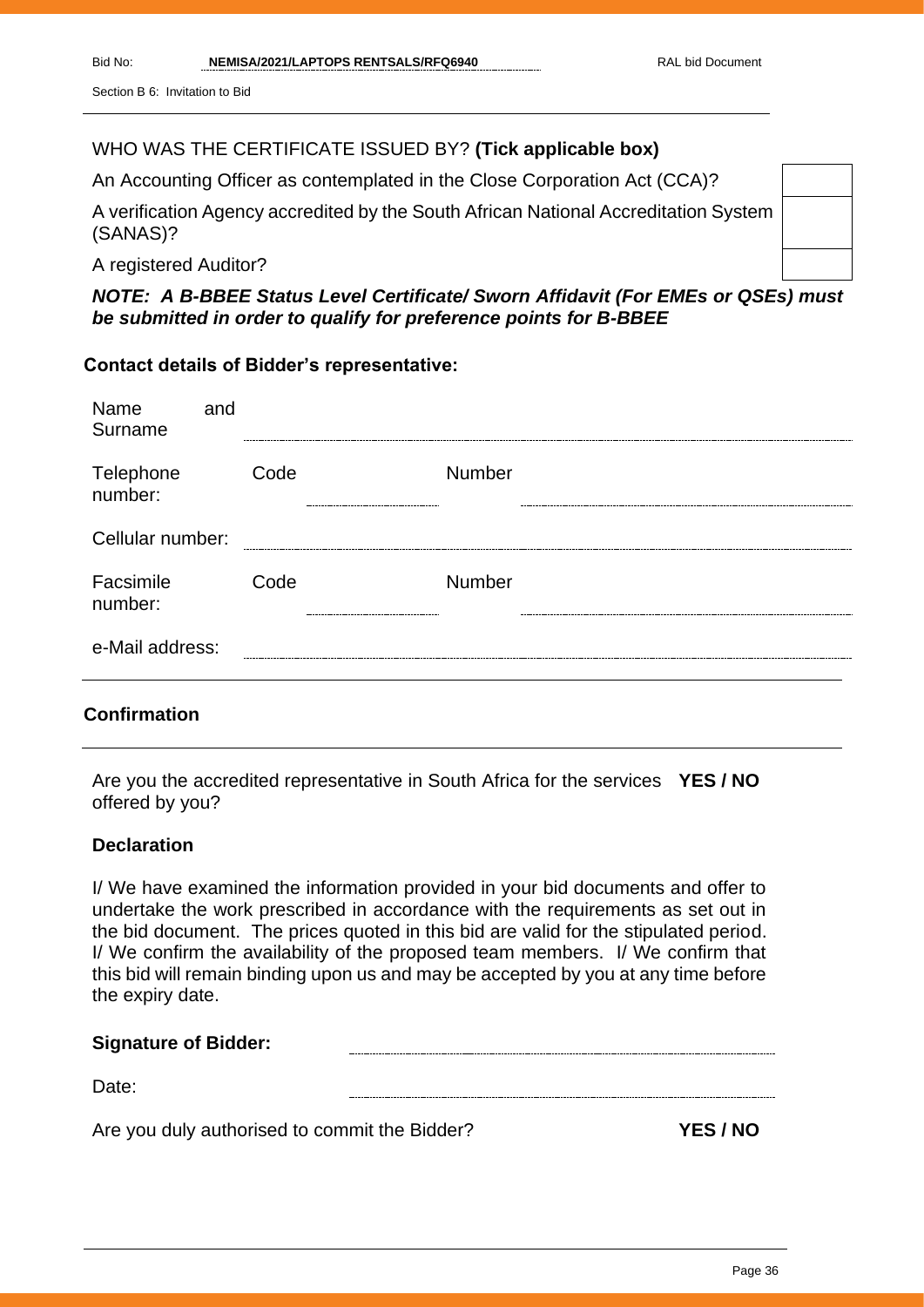Section B 6: Invitation to Bid

#### WHO WAS THE CERTIFICATE ISSUED BY? **(Tick applicable box)**

An Accounting Officer as contemplated in the Close Corporation Act (CCA)?

A verification Agency accredited by the South African National Accreditation System (SANAS)?

A registered Auditor?

#### *NOTE: A B-BBEE Status Level Certificate/ Sworn Affidavit (For EMEs or QSEs) must be submitted in order to qualify for preference points for B-BBEE*

#### **Contact details of Bidder's representative:**

| Name<br>Surname      | and  |        |  |
|----------------------|------|--------|--|
| Telephone<br>number: | `oye | Number |  |
| Cellular number:     |      |        |  |
| Facsimile<br>number: | Code | Number |  |
| e-Mail address:      |      |        |  |

#### **Confirmation**

Are you the accredited representative in South Africa for the services **YES / NO** offered by you?

#### **Declaration**

I/ We have examined the information provided in your bid documents and offer to undertake the work prescribed in accordance with the requirements as set out in the bid document. The prices quoted in this bid are valid for the stipulated period. I/ We confirm the availability of the proposed team members. I/ We confirm that this bid will remain binding upon us and may be accepted by you at any time before the expiry date.

Date:

Are you duly authorised to commit the Bidder? **YES / NO**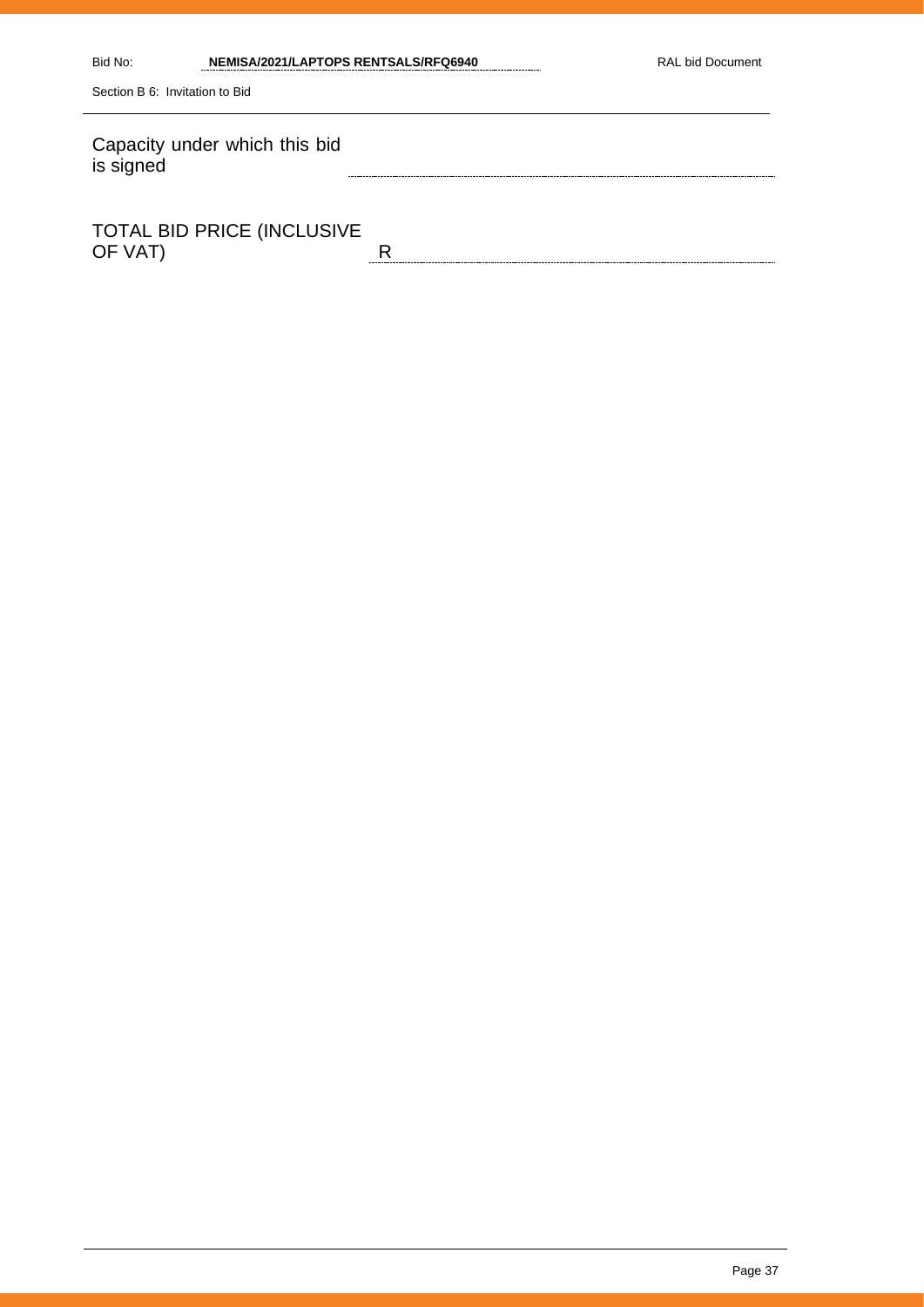| Bid No:                        | NEMISA/2021/LAPTOPS RENTSALS/RFQ6940 |   | RAI bid Document |
|--------------------------------|--------------------------------------|---|------------------|
| Section B 6: Invitation to Bid |                                      |   |                  |
| is signed                      | Capacity under which this bid        |   |                  |
| OF VAT)                        | TOTAL BID PRICE (INCLUSIVE           | R |                  |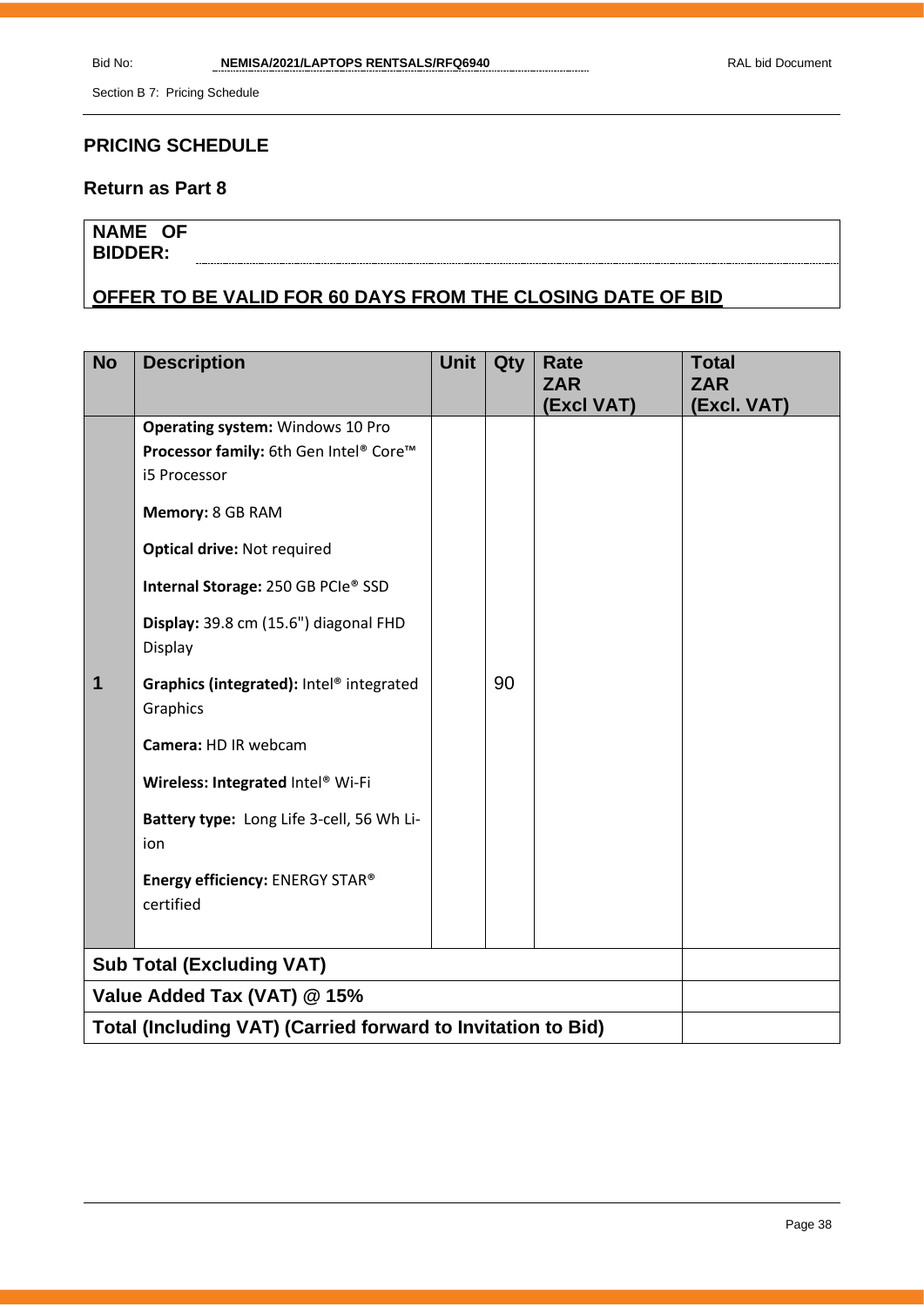Section B 7: Pricing Schedule

#### **PRICING SCHEDULE**

#### **Return as Part 8**

# **NAME OF BIDDER:**

#### **OFFER TO BE VALID FOR 60 DAYS FROM THE CLOSING DATE OF BID**

| <b>No</b>                                                    | <b>Description</b>                                                                         | <b>Unit</b> | Qty | Rate                     | <b>Total</b>              |
|--------------------------------------------------------------|--------------------------------------------------------------------------------------------|-------------|-----|--------------------------|---------------------------|
|                                                              |                                                                                            |             |     | <b>ZAR</b><br>(Excl VAT) | <b>ZAR</b><br>(Excl. VAT) |
|                                                              | Operating system: Windows 10 Pro<br>Processor family: 6th Gen Intel® Core™<br>i5 Processor |             |     |                          |                           |
|                                                              | Memory: 8 GB RAM                                                                           |             |     |                          |                           |
|                                                              | <b>Optical drive: Not required</b>                                                         |             |     |                          |                           |
|                                                              | Internal Storage: 250 GB PCIe® SSD                                                         |             |     |                          |                           |
|                                                              | Display: 39.8 cm (15.6") diagonal FHD<br>Display                                           |             |     |                          |                           |
| 1                                                            | Graphics (integrated): Intel® integrated<br>Graphics                                       |             | 90  |                          |                           |
|                                                              | Camera: HD IR webcam                                                                       |             |     |                          |                           |
|                                                              | Wireless: Integrated Intel® Wi-Fi                                                          |             |     |                          |                           |
|                                                              | Battery type: Long Life 3-cell, 56 Wh Li-<br>ion                                           |             |     |                          |                           |
|                                                              | Energy efficiency: ENERGY STAR®<br>certified                                               |             |     |                          |                           |
|                                                              | <b>Sub Total (Excluding VAT)</b>                                                           |             |     |                          |                           |
|                                                              | Value Added Tax (VAT) @ 15%                                                                |             |     |                          |                           |
| Total (Including VAT) (Carried forward to Invitation to Bid) |                                                                                            |             |     |                          |                           |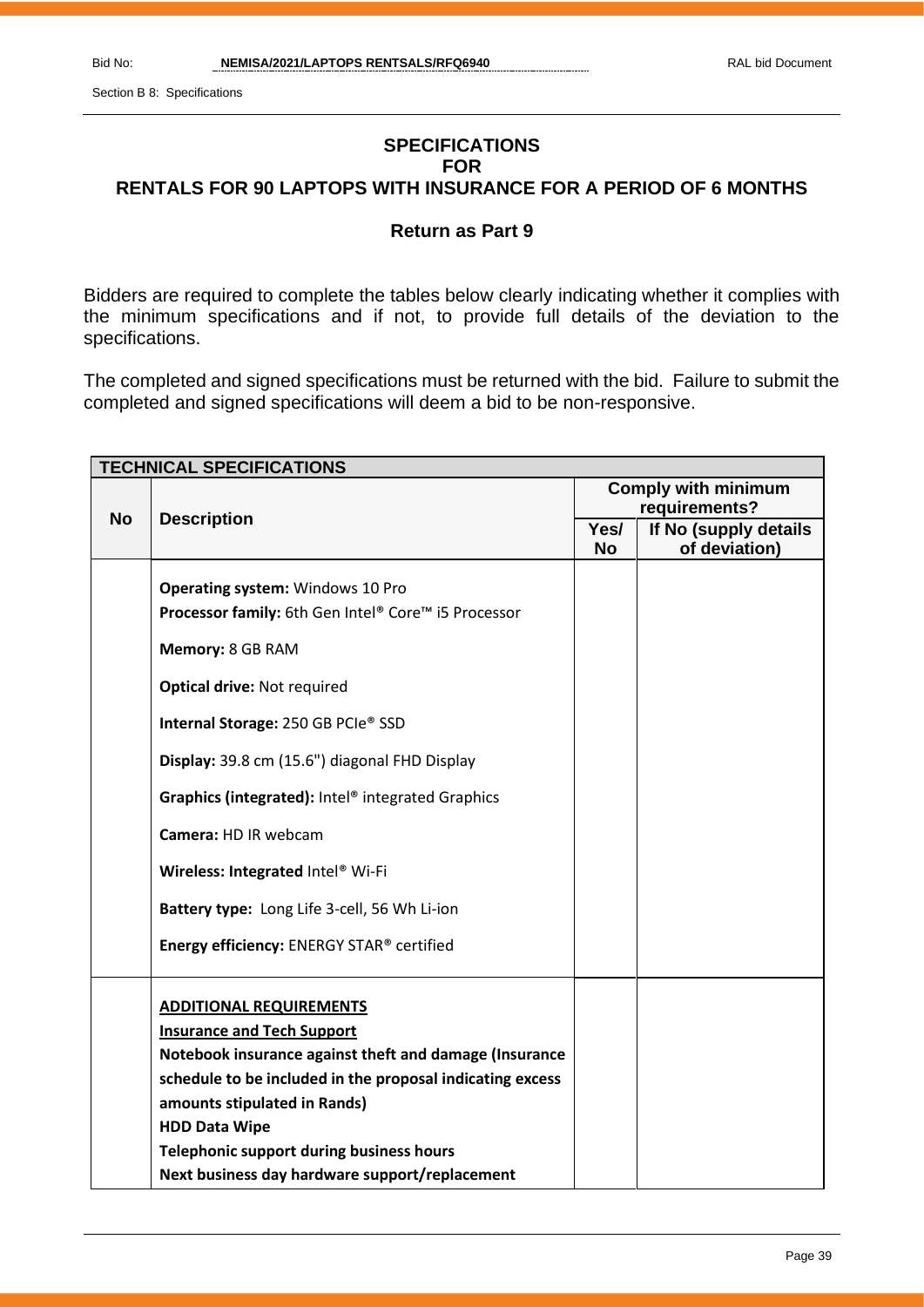Section B 8: Specifications

#### **SPECIFICATIONS FOR RENTALS FOR 90 LAPTOPS WITH INSURANCE FOR A PERIOD OF 6 MONTHS**

#### **Return as Part 9**

Bidders are required to complete the tables below clearly indicating whether it complies with the minimum specifications and if not, to provide full details of the deviation to the specifications.

The completed and signed specifications must be returned with the bid. Failure to submit the completed and signed specifications will deem a bid to be non-responsive.

| <b>TECHNICAL SPECIFICATIONS</b> |                                                                                                                                                                                                                                                                                                |                                             |                                        |  |  |
|---------------------------------|------------------------------------------------------------------------------------------------------------------------------------------------------------------------------------------------------------------------------------------------------------------------------------------------|---------------------------------------------|----------------------------------------|--|--|
|                                 |                                                                                                                                                                                                                                                                                                | <b>Comply with minimum</b><br>requirements? |                                        |  |  |
| <b>No</b>                       | <b>Description</b>                                                                                                                                                                                                                                                                             | Yes/<br><b>No</b>                           | If No (supply details<br>of deviation) |  |  |
|                                 | <b>Operating system: Windows 10 Pro</b><br>Processor family: 6th Gen Intel® Core™ i5 Processor                                                                                                                                                                                                 |                                             |                                        |  |  |
|                                 | Memory: 8 GB RAM                                                                                                                                                                                                                                                                               |                                             |                                        |  |  |
|                                 | <b>Optical drive: Not required</b>                                                                                                                                                                                                                                                             |                                             |                                        |  |  |
|                                 | Internal Storage: 250 GB PCIe® SSD                                                                                                                                                                                                                                                             |                                             |                                        |  |  |
|                                 | Display: 39.8 cm (15.6") diagonal FHD Display                                                                                                                                                                                                                                                  |                                             |                                        |  |  |
|                                 | Graphics (integrated): Intel® integrated Graphics                                                                                                                                                                                                                                              |                                             |                                        |  |  |
|                                 | Camera: HD IR webcam                                                                                                                                                                                                                                                                           |                                             |                                        |  |  |
|                                 | Wireless: Integrated Intel® Wi-Fi                                                                                                                                                                                                                                                              |                                             |                                        |  |  |
|                                 | Battery type: Long Life 3-cell, 56 Wh Li-ion                                                                                                                                                                                                                                                   |                                             |                                        |  |  |
|                                 | Energy efficiency: ENERGY STAR® certified                                                                                                                                                                                                                                                      |                                             |                                        |  |  |
|                                 | <b>ADDITIONAL REQUIREMENTS</b><br><b>Insurance and Tech Support</b><br>Notebook insurance against theft and damage (Insurance<br>schedule to be included in the proposal indicating excess<br>amounts stipulated in Rands)<br><b>HDD Data Wipe</b><br>Telephonic support during business hours |                                             |                                        |  |  |
|                                 | Next business day hardware support/replacement                                                                                                                                                                                                                                                 |                                             |                                        |  |  |